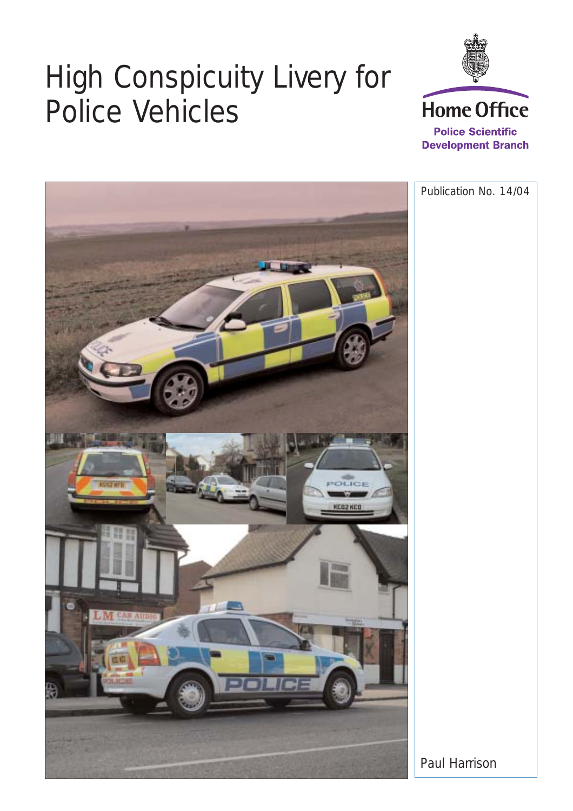# High Conspicuity Livery for Police Vehicles



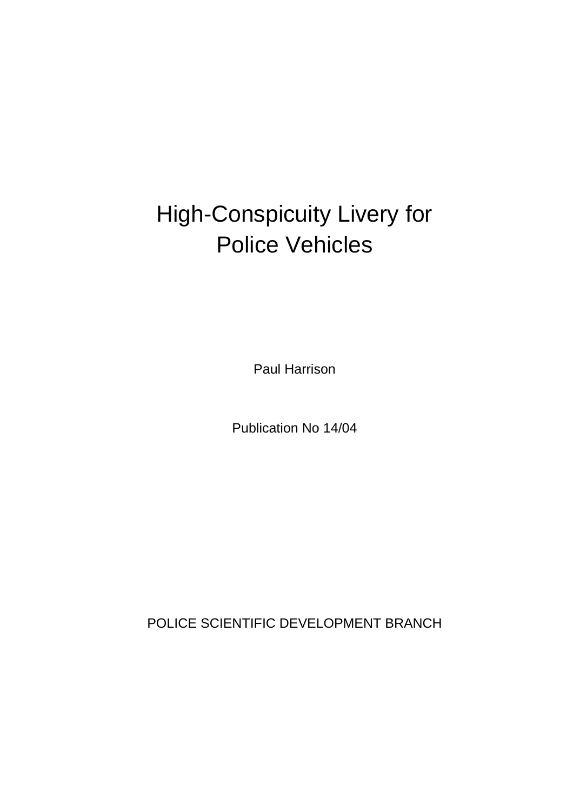# High-Conspicuity Livery for Police Vehicles

Paul Harrison

Publication No 14/04

POLICE SCIENTIFIC DEVELOPMENT BRANCH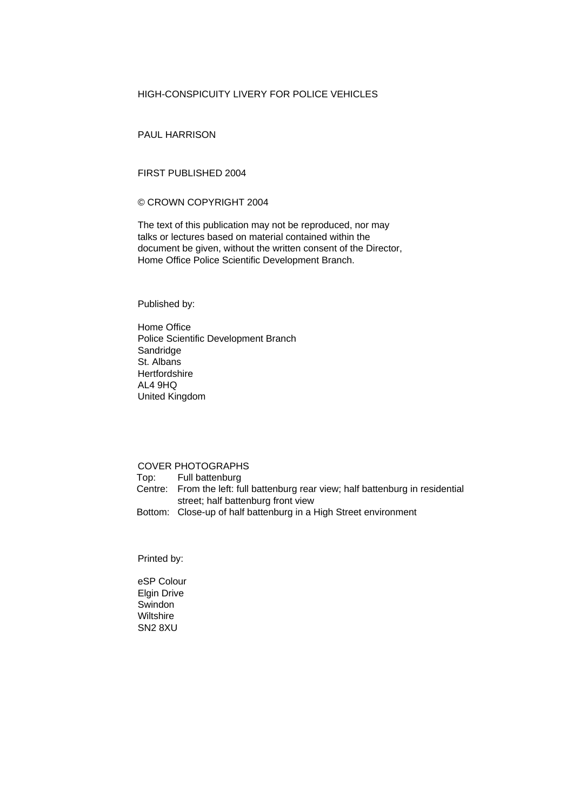## HIGH-CONSPICUITY LIVERY FOR POLICE VEHICLES

PAUL HARRISON

### FIRST PUBLISHED 2004

### © CROWN COPYRIGHT 2004

The text of this publication may not be reproduced, nor may talks or lectures based on material contained within the document be given, without the written consent of the Director, Home Office Police Scientific Development Branch.

Published by:

Home Office Police Scientific Development Branch Sandridge St. Albans **Hertfordshire** AL4 9HQ United Kingdom

### COVER PHOTOGRAPHS

Top: Full battenburg Centre: From the left: full battenburg rear view; half battenburg in residential street; half battenburg front view

Bottom: Close-up of half battenburg in a High Street environment

Printed by:

eSP Colour Elgin Drive **Swindon Wiltshire** SN2 8XU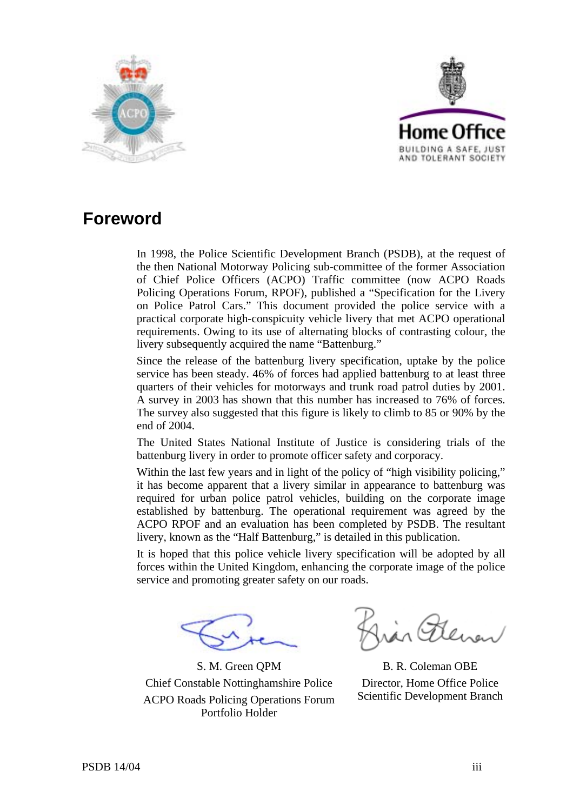



# **Foreword**

In 1998, the Police Scientific Development Branch (PSDB), at the request of the then National Motorway Policing sub-committee of the former Association of Chief Police Officers (ACPO) Traffic committee (now ACPO Roads Policing Operations Forum, RPOF), published a "Specification for the Livery on Police Patrol Cars." This document provided the police service with a practical corporate high-conspicuity vehicle livery that met ACPO operational requirements. Owing to its use of alternating blocks of contrasting colour, the livery subsequently acquired the name "Battenburg."

Since the release of the battenburg livery specification, uptake by the police service has been steady. 46% of forces had applied battenburg to at least three quarters of their vehicles for motorways and trunk road patrol duties by 2001. A survey in 2003 has shown that this number has increased to 76% of forces. The survey also suggested that this figure is likely to climb to 85 or 90% by the end of 2004.

The United States National Institute of Justice is considering trials of the battenburg livery in order to promote officer safety and corporacy.

Within the last few years and in light of the policy of "high visibility policing," it has become apparent that a livery similar in appearance to battenburg was required for urban police patrol vehicles, building on the corporate image established by battenburg. The operational requirement was agreed by the ACPO RPOF and an evaluation has been completed by PSDB. The resultant livery, known as the "Half Battenburg," is detailed in this publication.

It is hoped that this police vehicle livery specification will be adopted by all forces within the United Kingdom, enhancing the corporate image of the police service and promoting greater safety on our roads.

S. M. Green QPM Chief Constable Nottinghamshire Police ACPO Roads Policing Operations Forum Portfolio Holder

B. R. Coleman OBE Director, Home Office Police Scientific Development Branch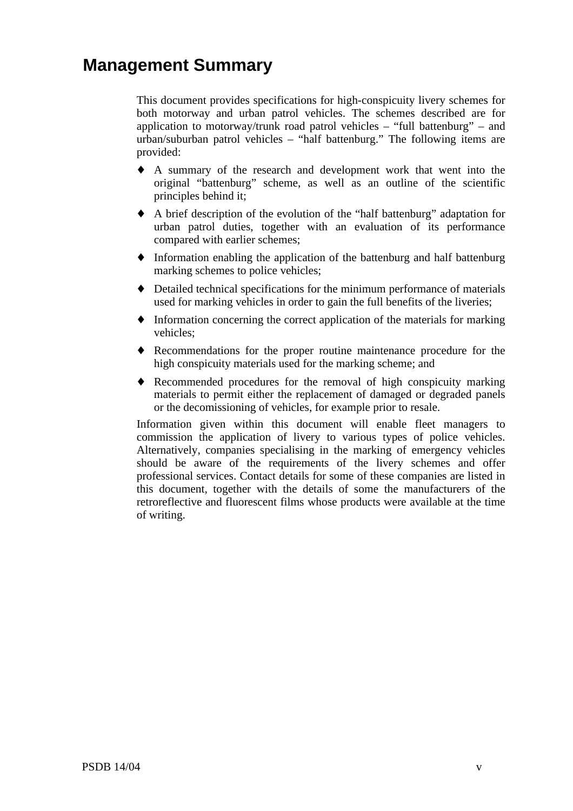# **Management Summary**

This document provides specifications for high-conspicuity livery schemes for both motorway and urban patrol vehicles. The schemes described are for application to motorway/trunk road patrol vehicles – "full battenburg" – and urban/suburban patrol vehicles – "half battenburg." The following items are provided:

- ♦ A summary of the research and development work that went into the original "battenburg" scheme, as well as an outline of the scientific principles behind it;
- ♦ A brief description of the evolution of the "half battenburg" adaptation for urban patrol duties, together with an evaluation of its performance compared with earlier schemes;
- ♦ Information enabling the application of the battenburg and half battenburg marking schemes to police vehicles;
- ♦ Detailed technical specifications for the minimum performance of materials used for marking vehicles in order to gain the full benefits of the liveries;
- ♦ Information concerning the correct application of the materials for marking vehicles;
- ♦ Recommendations for the proper routine maintenance procedure for the high conspicuity materials used for the marking scheme; and
- ♦ Recommended procedures for the removal of high conspicuity marking materials to permit either the replacement of damaged or degraded panels or the decomissioning of vehicles, for example prior to resale.

Information given within this document will enable fleet managers to commission the application of livery to various types of police vehicles. Alternatively, companies specialising in the marking of emergency vehicles should be aware of the requirements of the livery schemes and offer professional services. Contact details for some of these companies are listed in this document, together with the details of some the manufacturers of the retroreflective and fluorescent films whose products were available at the time of writing.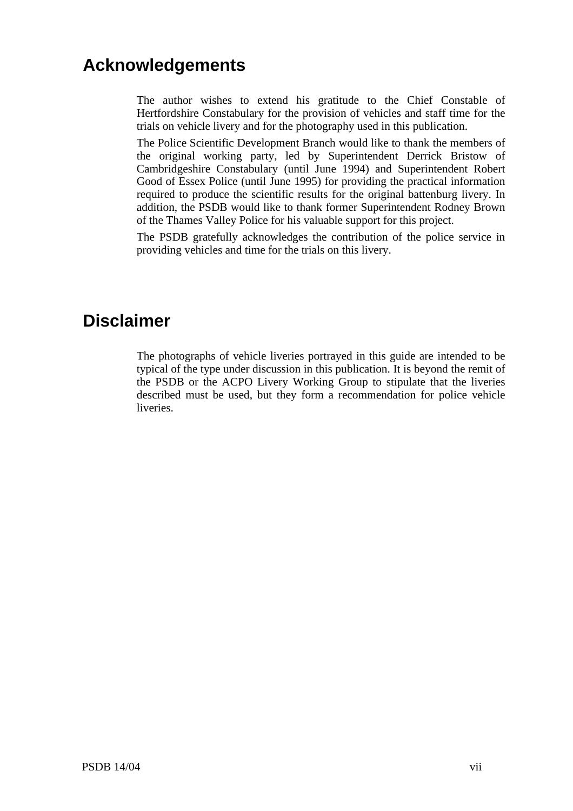# **Acknowledgements**

The author wishes to extend his gratitude to the Chief Constable of Hertfordshire Constabulary for the provision of vehicles and staff time for the trials on vehicle livery and for the photography used in this publication.

The Police Scientific Development Branch would like to thank the members of the original working party, led by Superintendent Derrick Bristow of Cambridgeshire Constabulary (until June 1994) and Superintendent Robert Good of Essex Police (until June 1995) for providing the practical information required to produce the scientific results for the original battenburg livery. In addition, the PSDB would like to thank former Superintendent Rodney Brown of the Thames Valley Police for his valuable support for this project.

The PSDB gratefully acknowledges the contribution of the police service in providing vehicles and time for the trials on this livery.

## **Disclaimer**

The photographs of vehicle liveries portrayed in this guide are intended to be typical of the type under discussion in this publication. It is beyond the remit of the PSDB or the ACPO Livery Working Group to stipulate that the liveries described must be used, but they form a recommendation for police vehicle liveries.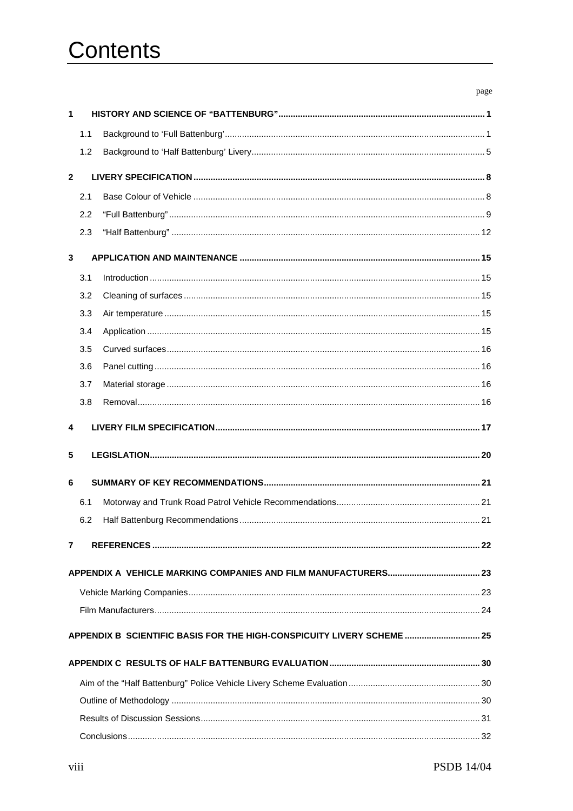# Contents

|              |     |                                                                        | page |
|--------------|-----|------------------------------------------------------------------------|------|
| 1            |     |                                                                        |      |
|              | 1.1 |                                                                        |      |
|              | 1.2 |                                                                        |      |
| $\mathbf{2}$ |     |                                                                        |      |
|              | 2.1 |                                                                        |      |
|              | 2.2 |                                                                        |      |
|              | 2.3 |                                                                        |      |
| 3            |     |                                                                        |      |
|              | 3.1 |                                                                        |      |
|              | 3.2 |                                                                        |      |
|              | 3.3 |                                                                        |      |
|              | 3.4 |                                                                        |      |
|              | 3.5 |                                                                        |      |
|              | 3.6 |                                                                        |      |
|              | 3.7 |                                                                        |      |
|              | 3.8 |                                                                        |      |
| 4            |     |                                                                        |      |
| 5            |     |                                                                        |      |
|              |     |                                                                        |      |
| 6            |     |                                                                        |      |
|              | 6.1 |                                                                        |      |
|              |     |                                                                        |      |
|              |     |                                                                        |      |
| 7            |     |                                                                        |      |
|              |     |                                                                        |      |
|              |     |                                                                        |      |
|              |     |                                                                        |      |
|              |     |                                                                        |      |
|              |     | APPENDIX B SCIENTIFIC BASIS FOR THE HIGH-CONSPICUITY LIVERY SCHEME  25 |      |
|              |     |                                                                        |      |
|              |     |                                                                        |      |
|              |     |                                                                        |      |
|              |     |                                                                        |      |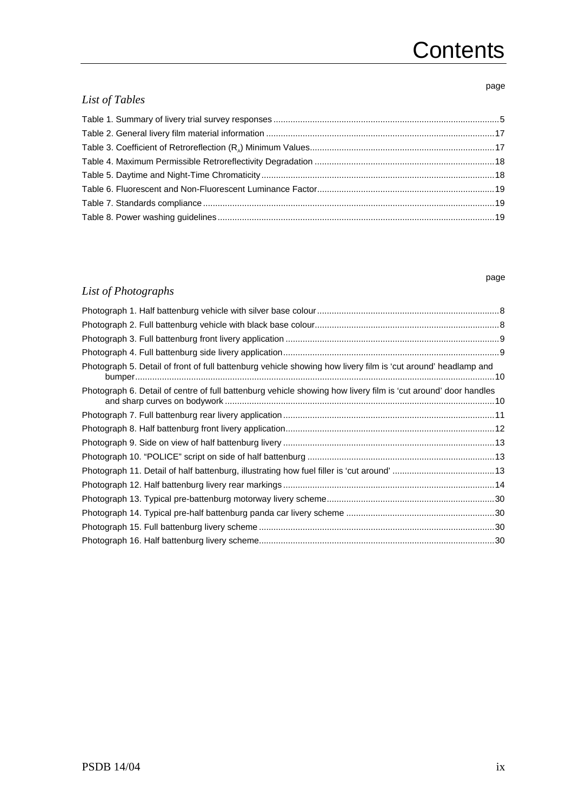# **Contents**

## page

page

## *List of Tables*

## *List of Photographs*

| Photograph 5. Detail of front of full battenburg vehicle showing how livery film is 'cut around' headlamp and  |  |
|----------------------------------------------------------------------------------------------------------------|--|
| Photograph 6. Detail of centre of full battenburg vehicle showing how livery film is 'cut around' door handles |  |
|                                                                                                                |  |
|                                                                                                                |  |
|                                                                                                                |  |
|                                                                                                                |  |
|                                                                                                                |  |
|                                                                                                                |  |
|                                                                                                                |  |
|                                                                                                                |  |
|                                                                                                                |  |
|                                                                                                                |  |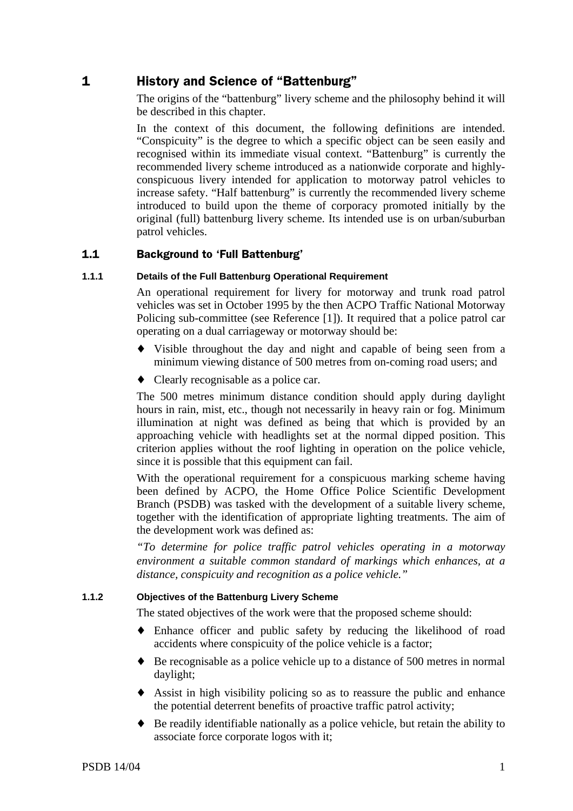## 1 History and Science of "Battenburg"

The origins of the "battenburg" livery scheme and the philosophy behind it will be described in this chapter.

In the context of this document, the following definitions are intended. "Conspicuity" is the degree to which a specific object can be seen easily and recognised within its immediate visual context. "Battenburg" is currently the recommended livery scheme introduced as a nationwide corporate and highlyconspicuous livery intended for application to motorway patrol vehicles to increase safety. "Half battenburg" is currently the recommended livery scheme introduced to build upon the theme of corporacy promoted initially by the original (full) battenburg livery scheme. Its intended use is on urban/suburban patrol vehicles.

#### $1.1$ ckground to 'Full Battenburg'

## **1.1.1 Details of the Full Battenburg Operational Requirement**

An operational requirement for livery for motorway and trunk road patrol vehicles was set in October 1995 by the then ACPO Traffic National Motorway Policing sub-committee (see Reference [1]). It required that a police patrol car operating on a dual carriageway or motorway should be:

- ♦ Visible throughout the day and night and capable of being seen from a minimum viewing distance of 500 metres from on-coming road users; and
- ♦ Clearly recognisable as a police car.

The 500 metres minimum distance condition should apply during daylight hours in rain, mist, etc., though not necessarily in heavy rain or fog. Minimum illumination at night was defined as being that which is provided by an approaching vehicle with headlights set at the normal dipped position. This criterion applies without the roof lighting in operation on the police vehicle, since it is possible that this equipment can fail.

With the operational requirement for a conspicuous marking scheme having been defined by ACPO, the Home Office Police Scientific Development Branch (PSDB) was tasked with the development of a suitable livery scheme, together with the identification of appropriate lighting treatments. The aim of the development work was defined as:

*"To determine for police traffic patrol vehicles operating in a motorway environment a suitable common standard of markings which enhances, at a distance, conspicuity and recognition as a police vehicle."*

## **1.1.2 Objectives of the Battenburg Livery Scheme**

The stated objectives of the work were that the proposed scheme should:

- ♦ Enhance officer and public safety by reducing the likelihood of road accidents where conspicuity of the police vehicle is a factor;
- ♦ Be recognisable as a police vehicle up to a distance of 500 metres in normal daylight;
- ♦ Assist in high visibility policing so as to reassure the public and enhance the potential deterrent benefits of proactive traffic patrol activity;
- ♦ Be readily identifiable nationally as a police vehicle, but retain the ability to associate force corporate logos with it;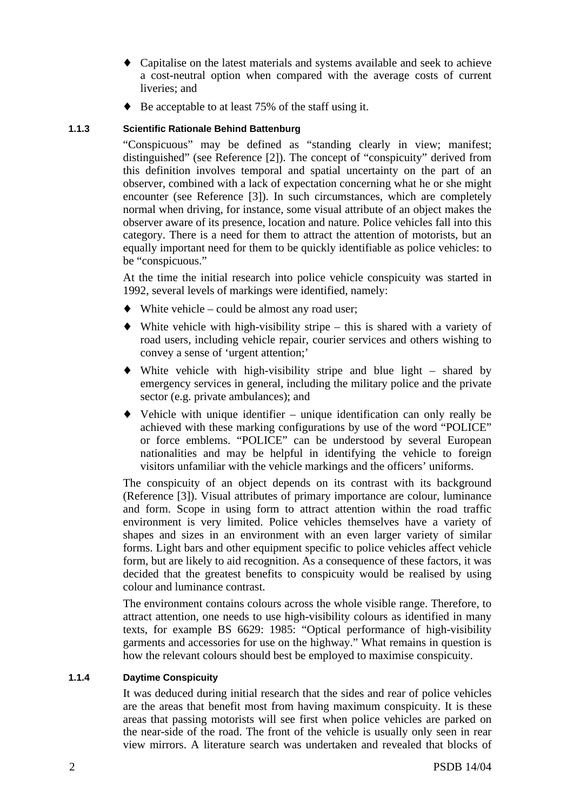- ♦ Capitalise on the latest materials and systems available and seek to achieve a cost-neutral option when compared with the average costs of current liveries; and
- ♦ Be acceptable to at least 75% of the staff using it.

## **1.1.3 Scientific Rationale Behind Battenburg**

"Conspicuous" may be defined as "standing clearly in view; manifest; distinguished" (see Reference [2]). The concept of "conspicuity" derived from this definition involves temporal and spatial uncertainty on the part of an observer, combined with a lack of expectation concerning what he or she might encounter (see Reference [3]). In such circumstances, which are completely normal when driving, for instance, some visual attribute of an object makes the observer aware of its presence, location and nature. Police vehicles fall into this category. There is a need for them to attract the attention of motorists, but an equally important need for them to be quickly identifiable as police vehicles: to be "conspicuous."

At the time the initial research into police vehicle conspicuity was started in 1992, several levels of markings were identified, namely:

- $\blacklozenge$  White vehicle could be almost any road user;
- $\blacklozenge$  White vehicle with high-visibility stripe this is shared with a variety of road users, including vehicle repair, courier services and others wishing to convey a sense of 'urgent attention;'
- ♦ White vehicle with high-visibility stripe and blue light shared by emergency services in general, including the military police and the private sector (e.g. private ambulances); and
- ♦ Vehicle with unique identifier unique identification can only really be achieved with these marking configurations by use of the word "POLICE" or force emblems. "POLICE" can be understood by several European nationalities and may be helpful in identifying the vehicle to foreign visitors unfamiliar with the vehicle markings and the officers' uniforms.

The conspicuity of an object depends on its contrast with its background (Reference [3]). Visual attributes of primary importance are colour, luminance and form. Scope in using form to attract attention within the road traffic environment is very limited. Police vehicles themselves have a variety of shapes and sizes in an environment with an even larger variety of similar forms. Light bars and other equipment specific to police vehicles affect vehicle form, but are likely to aid recognition. As a consequence of these factors, it was decided that the greatest benefits to conspicuity would be realised by using colour and luminance contrast.

The environment contains colours across the whole visible range. Therefore, to attract attention, one needs to use high-visibility colours as identified in many texts, for example BS 6629: 1985: "Optical performance of high-visibility garments and accessories for use on the highway." What remains in question is how the relevant colours should best be employed to maximise conspicuity.

## **1.1.4 Daytime Conspicuity**

It was deduced during initial research that the sides and rear of police vehicles are the areas that benefit most from having maximum conspicuity. It is these areas that passing motorists will see first when police vehicles are parked on the near-side of the road. The front of the vehicle is usually only seen in rear view mirrors. A literature search was undertaken and revealed that blocks of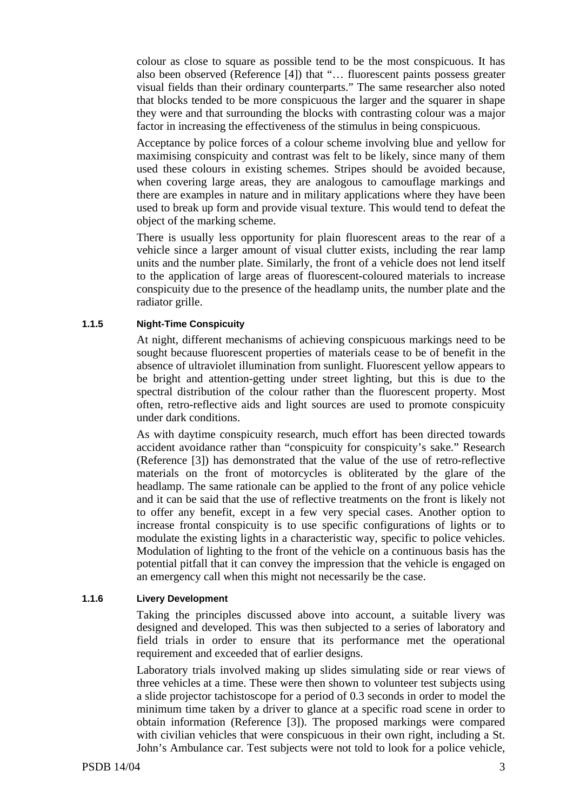colour as close to square as possible tend to be the most conspicuous. It has also been observed (Reference [4]) that "… fluorescent paints possess greater visual fields than their ordinary counterparts." The same researcher also noted that blocks tended to be more conspicuous the larger and the squarer in shape they were and that surrounding the blocks with contrasting colour was a major factor in increasing the effectiveness of the stimulus in being conspicuous.

Acceptance by police forces of a colour scheme involving blue and yellow for maximising conspicuity and contrast was felt to be likely, since many of them used these colours in existing schemes. Stripes should be avoided because, when covering large areas, they are analogous to camouflage markings and there are examples in nature and in military applications where they have been used to break up form and provide visual texture. This would tend to defeat the object of the marking scheme.

There is usually less opportunity for plain fluorescent areas to the rear of a vehicle since a larger amount of visual clutter exists, including the rear lamp units and the number plate. Similarly, the front of a vehicle does not lend itself to the application of large areas of fluorescent-coloured materials to increase conspicuity due to the presence of the headlamp units, the number plate and the radiator grille.

## **1.1.5 Night-Time Conspicuity**

At night, different mechanisms of achieving conspicuous markings need to be sought because fluorescent properties of materials cease to be of benefit in the absence of ultraviolet illumination from sunlight. Fluorescent yellow appears to be bright and attention-getting under street lighting, but this is due to the spectral distribution of the colour rather than the fluorescent property. Most often, retro-reflective aids and light sources are used to promote conspicuity under dark conditions.

As with daytime conspicuity research, much effort has been directed towards accident avoidance rather than "conspicuity for conspicuity's sake." Research (Reference [3]) has demonstrated that the value of the use of retro-reflective materials on the front of motorcycles is obliterated by the glare of the headlamp. The same rationale can be applied to the front of any police vehicle and it can be said that the use of reflective treatments on the front is likely not to offer any benefit, except in a few very special cases. Another option to increase frontal conspicuity is to use specific configurations of lights or to modulate the existing lights in a characteristic way, specific to police vehicles. Modulation of lighting to the front of the vehicle on a continuous basis has the potential pitfall that it can convey the impression that the vehicle is engaged on an emergency call when this might not necessarily be the case.

### **1.1.6 Livery Development**

Taking the principles discussed above into account, a suitable livery was designed and developed. This was then subjected to a series of laboratory and field trials in order to ensure that its performance met the operational requirement and exceeded that of earlier designs.

Laboratory trials involved making up slides simulating side or rear views of three vehicles at a time. These were then shown to volunteer test subjects using a slide projector tachistoscope for a period of 0.3 seconds in order to model the minimum time taken by a driver to glance at a specific road scene in order to obtain information (Reference [3]). The proposed markings were compared with civilian vehicles that were conspicuous in their own right, including a St. John's Ambulance car. Test subjects were not told to look for a police vehicle,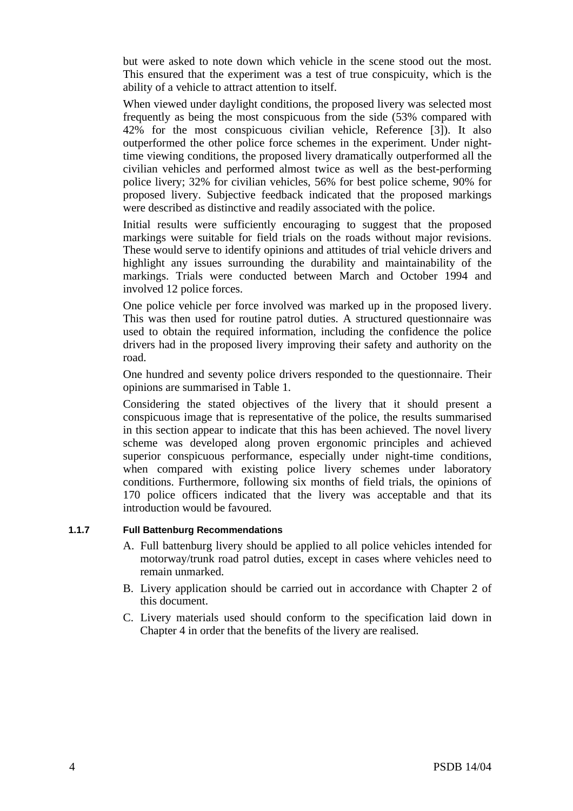but were asked to note down which vehicle in the scene stood out the most. This ensured that the experiment was a test of true conspicuity, which is the ability of a vehicle to attract attention to itself.

When viewed under daylight conditions, the proposed livery was selected most frequently as being the most conspicuous from the side (53% compared with 42% for the most conspicuous civilian vehicle, Reference [3]). It also outperformed the other police force schemes in the experiment. Under nighttime viewing conditions, the proposed livery dramatically outperformed all the civilian vehicles and performed almost twice as well as the best-performing police livery; 32% for civilian vehicles, 56% for best police scheme, 90% for proposed livery. Subjective feedback indicated that the proposed markings were described as distinctive and readily associated with the police.

Initial results were sufficiently encouraging to suggest that the proposed markings were suitable for field trials on the roads without major revisions. These would serve to identify opinions and attitudes of trial vehicle drivers and highlight any issues surrounding the durability and maintainability of the markings. Trials were conducted between March and October 1994 and involved 12 police forces.

One police vehicle per force involved was marked up in the proposed livery. This was then used for routine patrol duties. A structured questionnaire was used to obtain the required information, including the confidence the police drivers had in the proposed livery improving their safety and authority on the road.

One hundred and seventy police drivers responded to the questionnaire. Their opinions are summarised in Table 1.

Considering the stated objectives of the livery that it should present a conspicuous image that is representative of the police, the results summarised in this section appear to indicate that this has been achieved. The novel livery scheme was developed along proven ergonomic principles and achieved superior conspicuous performance, especially under night-time conditions, when compared with existing police livery schemes under laboratory conditions. Furthermore, following six months of field trials, the opinions of 170 police officers indicated that the livery was acceptable and that its introduction would be favoured.

## **1.1.7 Full Battenburg Recommendations**

- A. Full battenburg livery should be applied to all police vehicles intended for motorway/trunk road patrol duties, except in cases where vehicles need to remain unmarked.
- B. Livery application should be carried out in accordance with Chapter 2 of this document.
- C. Livery materials used should conform to the specification laid down in Chapter 4 in order that the benefits of the livery are realised.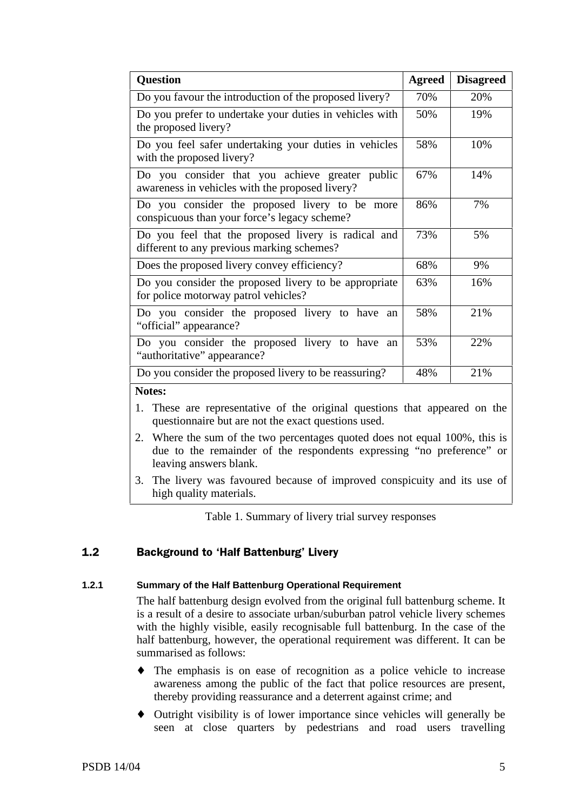| <b>Question</b>                                                                                                | <b>Agreed</b> | <b>Disagreed</b> |  |  |  |
|----------------------------------------------------------------------------------------------------------------|---------------|------------------|--|--|--|
| Do you favour the introduction of the proposed livery?                                                         | 70%           | 20%              |  |  |  |
| Do you prefer to undertake your duties in vehicles with<br>the proposed livery?                                | 50%           | 19%              |  |  |  |
| Do you feel safer undertaking your duties in vehicles<br>with the proposed livery?                             | 58%           | 10%              |  |  |  |
| Do you consider that you achieve greater public<br>awareness in vehicles with the proposed livery?             | 67%           | 14%              |  |  |  |
| Do you consider the proposed livery to be more<br>86%<br>7%<br>conspicuous than your force's legacy scheme?    |               |                  |  |  |  |
| Do you feel that the proposed livery is radical and<br>73%<br>5%<br>different to any previous marking schemes? |               |                  |  |  |  |
| 68%<br>Does the proposed livery convey efficiency?<br>9%                                                       |               |                  |  |  |  |
| Do you consider the proposed livery to be appropriate<br>63%<br>16%<br>for police motorway patrol vehicles?    |               |                  |  |  |  |
| 21%<br>Do you consider the proposed livery to have an<br>58%<br>"official" appearance?                         |               |                  |  |  |  |
| 22%<br>Do you consider the proposed livery to have<br>53%<br>an<br>"authoritative" appearance?                 |               |                  |  |  |  |
| Do you consider the proposed livery to be reassuring?                                                          | 48%           | 21%              |  |  |  |
| Notes:                                                                                                         |               |                  |  |  |  |
| 1. These are representative of the original questions that appeared on the                                     |               |                  |  |  |  |

- questionnaire but are not the exact questions used.
- 2. Where the sum of the two percentages quoted does not equal 100%, this is due to the remainder of the respondents expressing "no preference" or leaving answers blank.
- 3. The livery was favoured because of improved conspicuity and its use of high quality materials.

Table 1. Summary of livery trial survey responses

#### $1.2$ ckground to 'Half Battenburg' Livery

## **1.2.1 Summary of the Half Battenburg Operational Requirement**

The half battenburg design evolved from the original full battenburg scheme. It is a result of a desire to associate urban/suburban patrol vehicle livery schemes with the highly visible, easily recognisable full battenburg. In the case of the half battenburg, however, the operational requirement was different. It can be summarised as follows:

- ♦ The emphasis is on ease of recognition as a police vehicle to increase awareness among the public of the fact that police resources are present, thereby providing reassurance and a deterrent against crime; and
- ♦ Outright visibility is of lower importance since vehicles will generally be seen at close quarters by pedestrians and road users travelling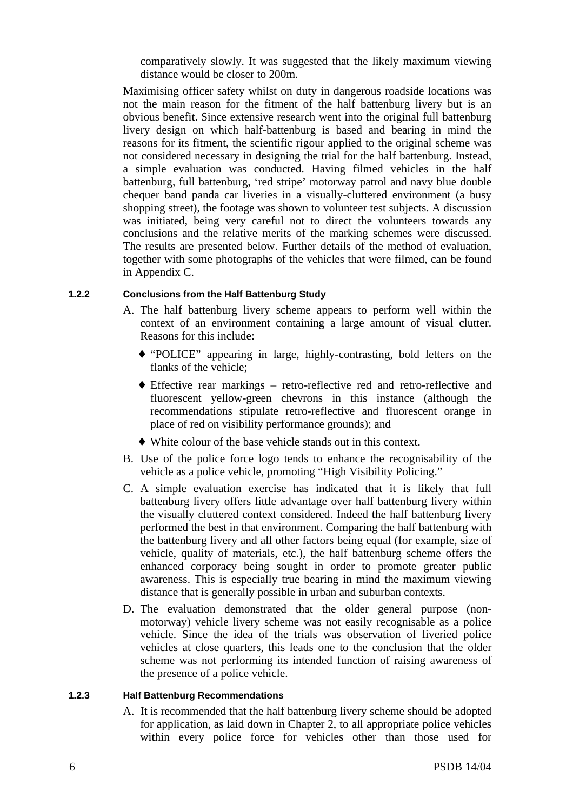comparatively slowly. It was suggested that the likely maximum viewing distance would be closer to 200m.

Maximising officer safety whilst on duty in dangerous roadside locations was not the main reason for the fitment of the half battenburg livery but is an obvious benefit. Since extensive research went into the original full battenburg livery design on which half-battenburg is based and bearing in mind the reasons for its fitment, the scientific rigour applied to the original scheme was not considered necessary in designing the trial for the half battenburg. Instead, a simple evaluation was conducted. Having filmed vehicles in the half battenburg, full battenburg, 'red stripe' motorway patrol and navy blue double chequer band panda car liveries in a visually-cluttered environment (a busy shopping street), the footage was shown to volunteer test subjects. A discussion was initiated, being very careful not to direct the volunteers towards any conclusions and the relative merits of the marking schemes were discussed. The results are presented below. Further details of the method of evaluation, together with some photographs of the vehicles that were filmed, can be found in Appendix C.

## **1.2.2 Conclusions from the Half Battenburg Study**

- A. The half battenburg livery scheme appears to perform well within the context of an environment containing a large amount of visual clutter. Reasons for this include:
	- ♦ "POLICE" appearing in large, highly-contrasting, bold letters on the flanks of the vehicle;
	- ♦ Effective rear markings retro-reflective red and retro-reflective and fluorescent yellow-green chevrons in this instance (although the recommendations stipulate retro-reflective and fluorescent orange in place of red on visibility performance grounds); and
	- ♦ White colour of the base vehicle stands out in this context.
- B. Use of the police force logo tends to enhance the recognisability of the vehicle as a police vehicle, promoting "High Visibility Policing."
- C. A simple evaluation exercise has indicated that it is likely that full battenburg livery offers little advantage over half battenburg livery within the visually cluttered context considered. Indeed the half battenburg livery performed the best in that environment. Comparing the half battenburg with the battenburg livery and all other factors being equal (for example, size of vehicle, quality of materials, etc.), the half battenburg scheme offers the enhanced corporacy being sought in order to promote greater public awareness. This is especially true bearing in mind the maximum viewing distance that is generally possible in urban and suburban contexts.
- D. The evaluation demonstrated that the older general purpose (nonmotorway) vehicle livery scheme was not easily recognisable as a police vehicle. Since the idea of the trials was observation of liveried police vehicles at close quarters, this leads one to the conclusion that the older scheme was not performing its intended function of raising awareness of the presence of a police vehicle.

## **1.2.3 Half Battenburg Recommendations**

A. It is recommended that the half battenburg livery scheme should be adopted for application, as laid down in Chapter 2, to all appropriate police vehicles within every police force for vehicles other than those used for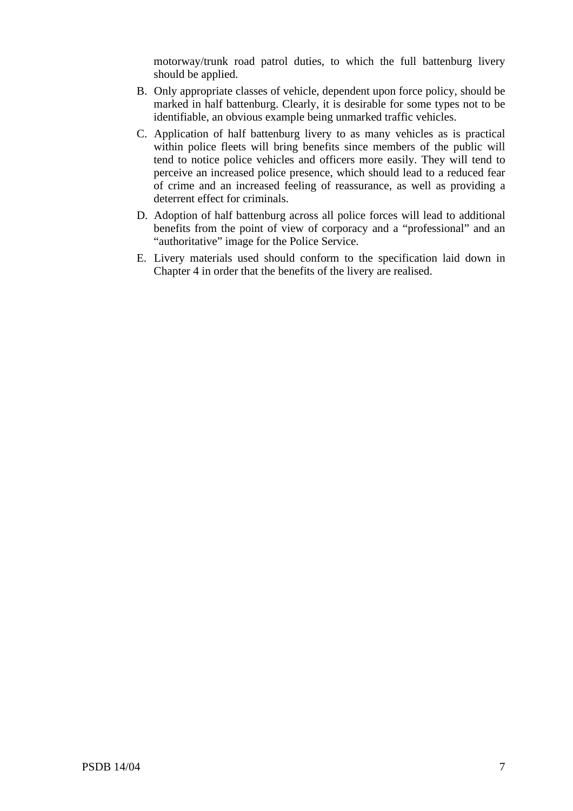motorway/trunk road patrol duties, to which the full battenburg livery should be applied.

- B. Only appropriate classes of vehicle, dependent upon force policy, should be marked in half battenburg. Clearly, it is desirable for some types not to be identifiable, an obvious example being unmarked traffic vehicles.
- C. Application of half battenburg livery to as many vehicles as is practical within police fleets will bring benefits since members of the public will tend to notice police vehicles and officers more easily. They will tend to perceive an increased police presence, which should lead to a reduced fear of crime and an increased feeling of reassurance, as well as providing a deterrent effect for criminals.
- D. Adoption of half battenburg across all police forces will lead to additional benefits from the point of view of corporacy and a "professional" and an "authoritative" image for the Police Service.
- E. Livery materials used should conform to the specification laid down in Chapter 4 in order that the benefits of the livery are realised.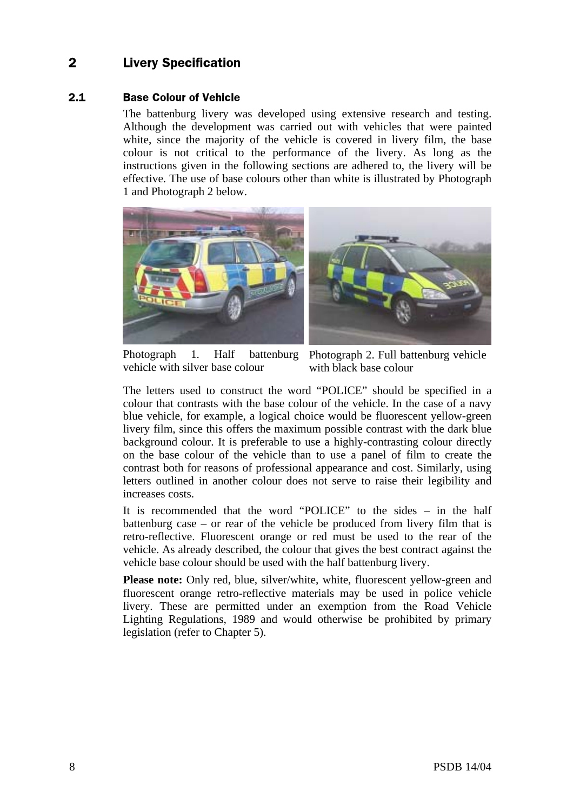## 2 Livery Specification

#### $2.1$ **Base Colour of Vehicle**

The battenburg livery was developed using extensive research and testing. Although the development was carried out with vehicles that were painted white, since the majority of the vehicle is covered in livery film, the base colour is not critical to the performance of the livery. As long as the instructions given in the following sections are adhered to, the livery will be effective. The use of base colours other than white is illustrated by Photograph 1 and Photograph 2 below.



Photograph 1. Half battenburg Photograph 2. Full battenburg vehicle vehicle with silver base colour

with black base colour

The letters used to construct the word "POLICE" should be specified in a colour that contrasts with the base colour of the vehicle. In the case of a navy blue vehicle, for example, a logical choice would be fluorescent yellow-green livery film, since this offers the maximum possible contrast with the dark blue background colour. It is preferable to use a highly-contrasting colour directly on the base colour of the vehicle than to use a panel of film to create the contrast both for reasons of professional appearance and cost. Similarly, using letters outlined in another colour does not serve to raise their legibility and increases costs.

It is recommended that the word "POLICE" to the sides – in the half battenburg case – or rear of the vehicle be produced from livery film that is retro-reflective. Fluorescent orange or red must be used to the rear of the vehicle. As already described, the colour that gives the best contract against the vehicle base colour should be used with the half battenburg livery.

Please note: Only red, blue, silver/white, white, fluorescent yellow-green and fluorescent orange retro-reflective materials may be used in police vehicle livery. These are permitted under an exemption from the Road Vehicle Lighting Regulations, 1989 and would otherwise be prohibited by primary legislation (refer to Chapter 5).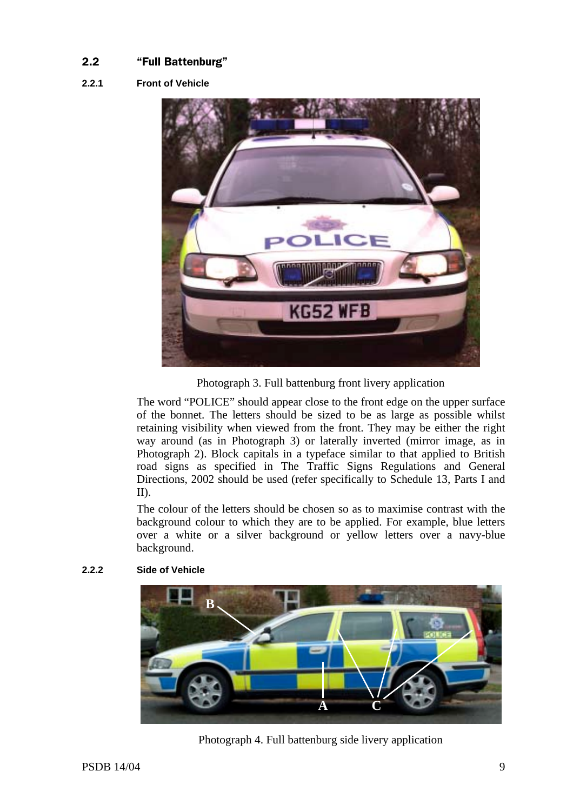## 

## **2.2.1 Front of Vehicle**



Photograph 3. Full battenburg front livery application

The word "POLICE" should appear close to the front edge on the upper surface of the bonnet. The letters should be sized to be as large as possible whilst retaining visibility when viewed from the front. They may be either the right way around (as in Photograph 3) or laterally inverted (mirror image, as in Photograph 2). Block capitals in a typeface similar to that applied to British road signs as specified in The Traffic Signs Regulations and General Directions, 2002 should be used (refer specifically to Schedule 13, Parts I and II).

The colour of the letters should be chosen so as to maximise contrast with the background colour to which they are to be applied. For example, blue letters over a white or a silver background or yellow letters over a navy-blue background.



## **2.2.2 Side of Vehicle**

Photograph 4. Full battenburg side livery application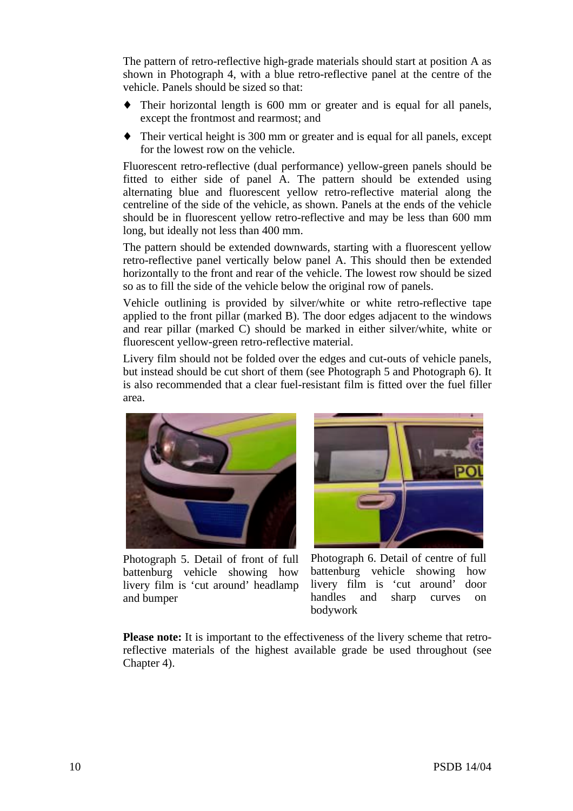The pattern of retro-reflective high-grade materials should start at position A as shown in Photograph 4, with a blue retro-reflective panel at the centre of the vehicle. Panels should be sized so that:

- ♦ Their horizontal length is 600 mm or greater and is equal for all panels, except the frontmost and rearmost; and
- ♦ Their vertical height is 300 mm or greater and is equal for all panels, except for the lowest row on the vehicle.

Fluorescent retro-reflective (dual performance) yellow-green panels should be fitted to either side of panel A. The pattern should be extended using alternating blue and fluorescent yellow retro-reflective material along the centreline of the side of the vehicle, as shown. Panels at the ends of the vehicle should be in fluorescent yellow retro-reflective and may be less than 600 mm long, but ideally not less than 400 mm.

The pattern should be extended downwards, starting with a fluorescent yellow retro-reflective panel vertically below panel A. This should then be extended horizontally to the front and rear of the vehicle. The lowest row should be sized so as to fill the side of the vehicle below the original row of panels.

Vehicle outlining is provided by silver/white or white retro-reflective tape applied to the front pillar (marked B). The door edges adjacent to the windows and rear pillar (marked C) should be marked in either silver/white, white or fluorescent yellow-green retro-reflective material.

Livery film should not be folded over the edges and cut-outs of vehicle panels, but instead should be cut short of them (see Photograph 5 and Photograph 6). It is also recommended that a clear fuel-resistant film is fitted over the fuel filler area.



Photograph 5. Detail of front of full battenburg vehicle showing how livery film is 'cut around' headlamp and bumper



Photograph 6. Detail of centre of full battenburg vehicle showing how livery film is 'cut around' door handles and sharp curves on bodywork

**Please note:** It is important to the effectiveness of the livery scheme that retroreflective materials of the highest available grade be used throughout (see Chapter 4).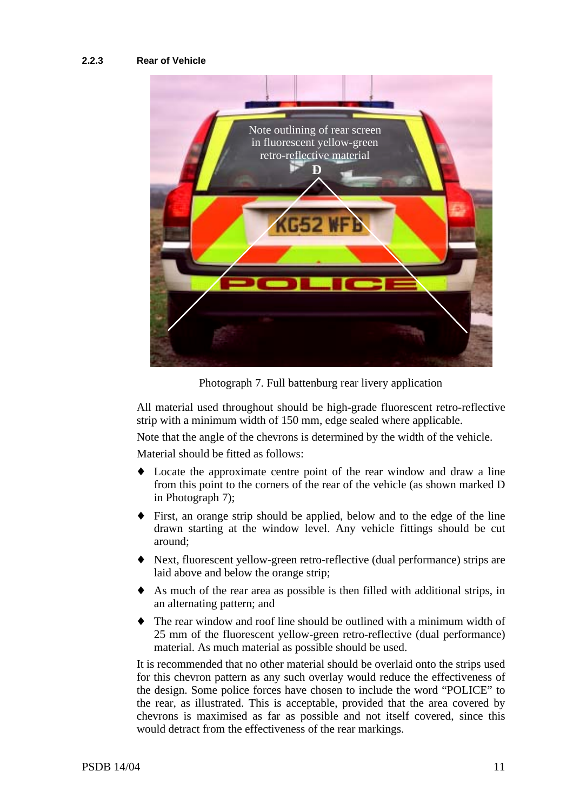## **2.2.3 Rear of Vehicle**



Photograph 7. Full battenburg rear livery application

All material used throughout should be high-grade fluorescent retro-reflective strip with a minimum width of 150 mm, edge sealed where applicable.

Note that the angle of the chevrons is determined by the width of the vehicle.

Material should be fitted as follows:

- ♦ Locate the approximate centre point of the rear window and draw a line from this point to the corners of the rear of the vehicle (as shown marked D in Photograph 7);
- First, an orange strip should be applied, below and to the edge of the line drawn starting at the window level. Any vehicle fittings should be cut around;
- Next, fluorescent yellow-green retro-reflective (dual performance) strips are laid above and below the orange strip;
- As much of the rear area as possible is then filled with additional strips, in an alternating pattern; and
- The rear window and roof line should be outlined with a minimum width of 25 mm of the fluorescent yellow-green retro-reflective (dual performance) material. As much material as possible should be used.

It is recommended that no other material should be overlaid onto the strips used for this chevron pattern as any such overlay would reduce the effectiveness of the design. Some police forces have chosen to include the word "POLICE" to the rear, as illustrated. This is acceptable, provided that the area covered by chevrons is maximised as far as possible and not itself covered, since this would detract from the effectiveness of the rear markings.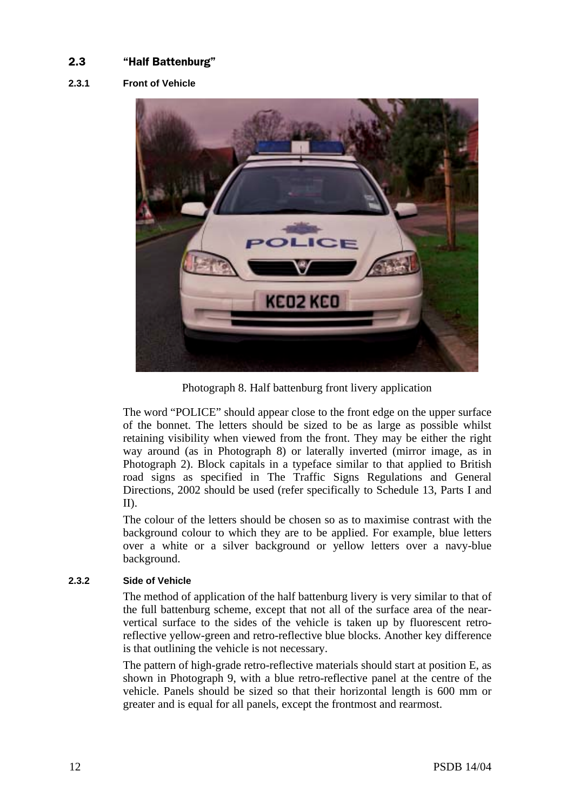#### $2.3$ alf Battenburg"

## **2.3.1 Front of Vehicle**



Photograph 8. Half battenburg front livery application

The word "POLICE" should appear close to the front edge on the upper surface of the bonnet. The letters should be sized to be as large as possible whilst retaining visibility when viewed from the front. They may be either the right way around (as in Photograph 8) or laterally inverted (mirror image, as in Photograph 2). Block capitals in a typeface similar to that applied to British road signs as specified in The Traffic Signs Regulations and General Directions, 2002 should be used (refer specifically to Schedule 13, Parts I and II).

The colour of the letters should be chosen so as to maximise contrast with the background colour to which they are to be applied. For example, blue letters over a white or a silver background or yellow letters over a navy-blue background.

## **2.3.2 Side of Vehicle**

The method of application of the half battenburg livery is very similar to that of the full battenburg scheme, except that not all of the surface area of the nearvertical surface to the sides of the vehicle is taken up by fluorescent retroreflective yellow-green and retro-reflective blue blocks. Another key difference is that outlining the vehicle is not necessary.

The pattern of high-grade retro-reflective materials should start at position E, as shown in Photograph 9, with a blue retro-reflective panel at the centre of the vehicle. Panels should be sized so that their horizontal length is 600 mm or greater and is equal for all panels, except the frontmost and rearmost.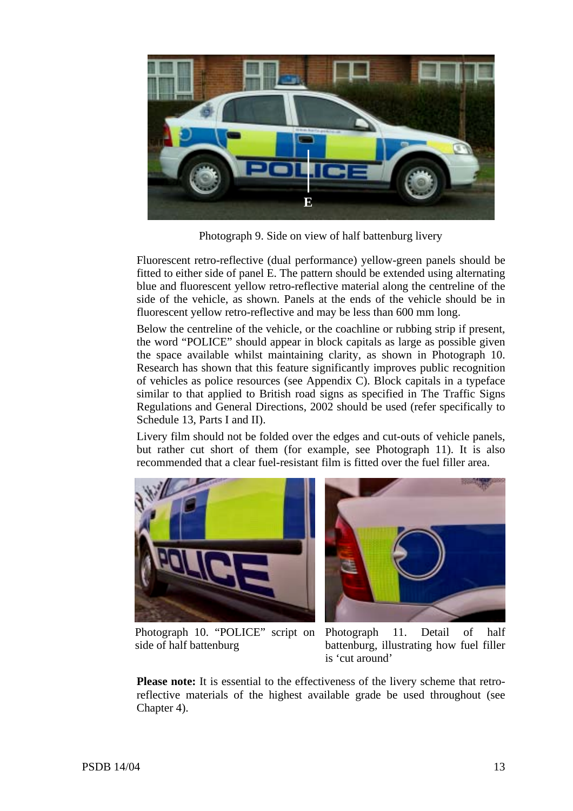

Photograph 9. Side on view of half battenburg livery

Fluorescent retro-reflective (dual performance) yellow-green panels should be fitted to either side of panel E. The pattern should be extended using alternating blue and fluorescent yellow retro-reflective material along the centreline of the side of the vehicle, as shown. Panels at the ends of the vehicle should be in fluorescent yellow retro-reflective and may be less than 600 mm long.

Below the centreline of the vehicle, or the coachline or rubbing strip if present, the word "POLICE" should appear in block capitals as large as possible given the space available whilst maintaining clarity, as shown in Photograph 10. Research has shown that this feature significantly improves public recognition of vehicles as police resources (see Appendix C). Block capitals in a typeface similar to that applied to British road signs as specified in The Traffic Signs Regulations and General Directions, 2002 should be used (refer specifically to Schedule 13, Parts I and II).

Livery film should not be folded over the edges and cut-outs of vehicle panels, but rather cut short of them (for example, see Photograph 11). It is also recommended that a clear fuel-resistant film is fitted over the fuel filler area.





side of half battenburg

Photograph 10. "POLICE" script on Photograph 11. Detail of half battenburg, illustrating how fuel filler is 'cut around'

**Please note:** It is essential to the effectiveness of the livery scheme that retroreflective materials of the highest available grade be used throughout (see Chapter 4).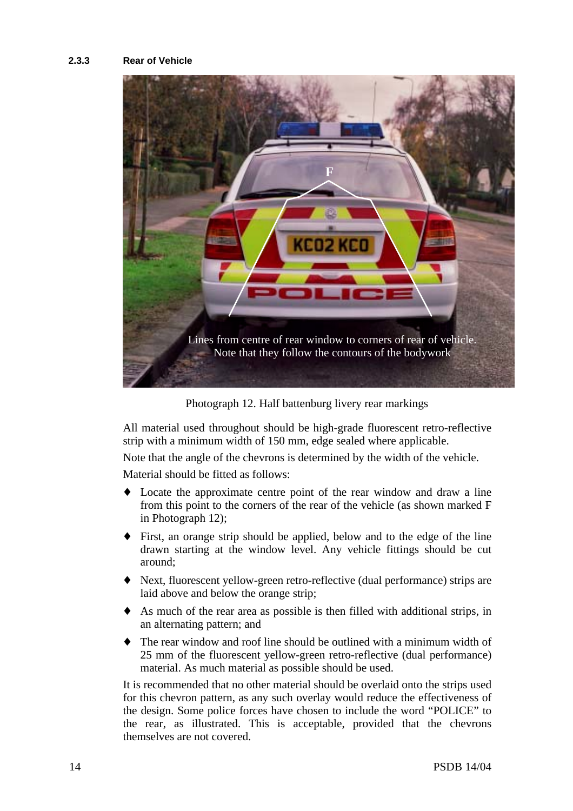### **2.3.3 Rear of Vehicle**



Photograph 12. Half battenburg livery rear markings

All material used throughout should be high-grade fluorescent retro-reflective strip with a minimum width of 150 mm, edge sealed where applicable.

Note that the angle of the chevrons is determined by the width of the vehicle.

Material should be fitted as follows:

- ♦ Locate the approximate centre point of the rear window and draw a line from this point to the corners of the rear of the vehicle (as shown marked F in Photograph 12);
- First, an orange strip should be applied, below and to the edge of the line drawn starting at the window level. Any vehicle fittings should be cut around;
- ♦ Next, fluorescent yellow-green retro-reflective (dual performance) strips are laid above and below the orange strip;
- As much of the rear area as possible is then filled with additional strips, in an alternating pattern; and
- The rear window and roof line should be outlined with a minimum width of 25 mm of the fluorescent yellow-green retro-reflective (dual performance) material. As much material as possible should be used.

It is recommended that no other material should be overlaid onto the strips used for this chevron pattern, as any such overlay would reduce the effectiveness of the design. Some police forces have chosen to include the word "POLICE" to the rear, as illustrated. This is acceptable, provided that the chevrons themselves are not covered.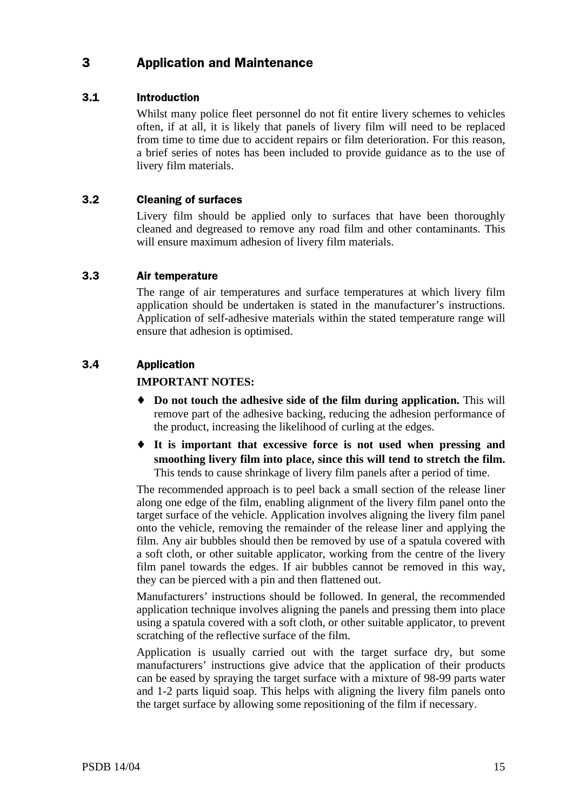## 3 **Application and Maintenance**

## 3.1 Introduction

Whilst many police fleet personnel do not fit entire livery schemes to vehicles often, if at all, it is likely that panels of livery film will need to be replaced from time to time due to accident repairs or film deterioration. For this reason, a brief series of notes has been included to provide guidance as to the use of livery film materials.

## 3.2 Cleaning of surfaces

Livery film should be applied only to surfaces that have been thoroughly cleaned and degreased to remove any road film and other contaminants. This will ensure maximum adhesion of livery film materials.

## 3.3 Air temperature

The range of air temperatures and surface temperatures at which livery film application should be undertaken is stated in the manufacturer's instructions. Application of self-adhesive materials within the stated temperature range will ensure that adhesion is optimised.

## 3.4 Application

## **IMPORTANT NOTES:**

- ♦ **Do not touch the adhesive side of the film during application.** This will remove part of the adhesive backing, reducing the adhesion performance of the product, increasing the likelihood of curling at the edges.
- ♦ **It is important that excessive force is not used when pressing and smoothing livery film into place, since this will tend to stretch the film.** This tends to cause shrinkage of livery film panels after a period of time.

The recommended approach is to peel back a small section of the release liner along one edge of the film, enabling alignment of the livery film panel onto the target surface of the vehicle. Application involves aligning the livery film panel onto the vehicle, removing the remainder of the release liner and applying the film. Any air bubbles should then be removed by use of a spatula covered with a soft cloth, or other suitable applicator, working from the centre of the livery film panel towards the edges. If air bubbles cannot be removed in this way, they can be pierced with a pin and then flattened out.

Manufacturers' instructions should be followed. In general, the recommended application technique involves aligning the panels and pressing them into place using a spatula covered with a soft cloth, or other suitable applicator, to prevent scratching of the reflective surface of the film.

Application is usually carried out with the target surface dry, but some manufacturers' instructions give advice that the application of their products can be eased by spraying the target surface with a mixture of 98-99 parts water and 1-2 parts liquid soap. This helps with aligning the livery film panels onto the target surface by allowing some repositioning of the film if necessary.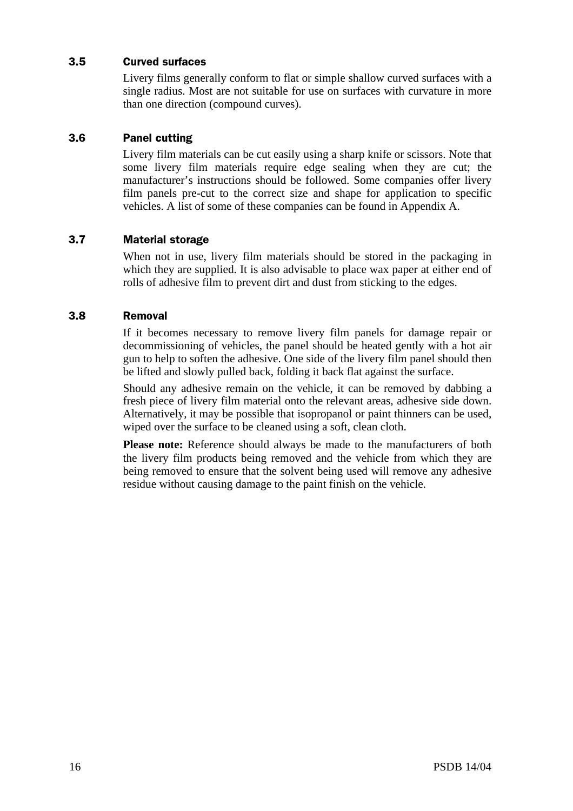## 3.5 Curved surfaces

Livery films generally conform to flat or simple shallow curved surfaces with a single radius. Most are not suitable for use on surfaces with curvature in more than one direction (compound curves).

#### $3.6$ **Panel cutting**

Livery film materials can be cut easily using a sharp knife or scissors. Note that some livery film materials require edge sealing when they are cut; the manufacturer's instructions should be followed. Some companies offer livery film panels pre-cut to the correct size and shape for application to specific vehicles. A list of some of these companies can be found in Appendix A.

## 3.7 Material storage

When not in use, livery film materials should be stored in the packaging in which they are supplied. It is also advisable to place wax paper at either end of rolls of adhesive film to prevent dirt and dust from sticking to the edges.

## 3.8 Removal

If it becomes necessary to remove livery film panels for damage repair or decommissioning of vehicles, the panel should be heated gently with a hot air gun to help to soften the adhesive. One side of the livery film panel should then be lifted and slowly pulled back, folding it back flat against the surface.

Should any adhesive remain on the vehicle, it can be removed by dabbing a fresh piece of livery film material onto the relevant areas, adhesive side down. Alternatively, it may be possible that isopropanol or paint thinners can be used, wiped over the surface to be cleaned using a soft, clean cloth.

**Please note:** Reference should always be made to the manufacturers of both the livery film products being removed and the vehicle from which they are being removed to ensure that the solvent being used will remove any adhesive residue without causing damage to the paint finish on the vehicle.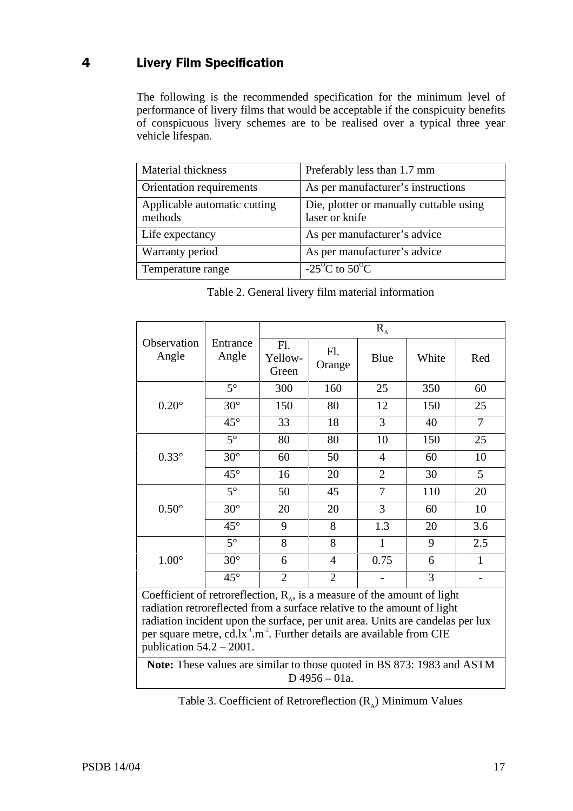## 4 Livery Film Specification

The following is the recommended specification for the minimum level of performance of livery films that would be acceptable if the conspicuity benefits of conspicuous livery schemes are to be realised over a typical three year vehicle lifespan.

| Material thickness                      | Preferably less than 1.7 mm                               |
|-----------------------------------------|-----------------------------------------------------------|
| Orientation requirements                | As per manufacturer's instructions                        |
| Applicable automatic cutting<br>methods | Die, plotter or manually cuttable using<br>laser or knife |
| Life expectancy                         | As per manufacturer's advice                              |
| Warranty period                         | As per manufacturer's advice                              |
| Temperature range                       | -25 <sup>o</sup> C to 50 <sup>o</sup> C                   |

|                                                                                                                                                                                                                                                                                                                                                                              |                   | $R_{A}$                 |                |                |       |                |  |
|------------------------------------------------------------------------------------------------------------------------------------------------------------------------------------------------------------------------------------------------------------------------------------------------------------------------------------------------------------------------------|-------------------|-------------------------|----------------|----------------|-------|----------------|--|
| Observation<br>Angle                                                                                                                                                                                                                                                                                                                                                         | Entrance<br>Angle | Fl.<br>Yellow-<br>Green | Fl.<br>Orange  | Blue           | White | Red            |  |
|                                                                                                                                                                                                                                                                                                                                                                              | $5^\circ$         | 300                     | 160            | 25             | 350   | 60             |  |
| $0.20^\circ$                                                                                                                                                                                                                                                                                                                                                                 | $30^\circ$        | 150                     | 80             | 12             | 150   | 25             |  |
|                                                                                                                                                                                                                                                                                                                                                                              | $45^{\circ}$      | 33                      | 18             | 3              | 40    | $\overline{7}$ |  |
|                                                                                                                                                                                                                                                                                                                                                                              | $5^\circ$         | 80                      | 80             | 10             | 150   | 25             |  |
| $0.33^\circ$                                                                                                                                                                                                                                                                                                                                                                 | $30^\circ$        | 60                      | 50             | $\overline{4}$ | 60    | 10             |  |
|                                                                                                                                                                                                                                                                                                                                                                              | $45^{\circ}$      | 16                      | 20             | $\overline{2}$ | 30    | 5              |  |
|                                                                                                                                                                                                                                                                                                                                                                              | $5^\circ$         | 50                      | 45             | $\overline{7}$ | 110   | 20             |  |
| $0.50^\circ$                                                                                                                                                                                                                                                                                                                                                                 | $30^\circ$        | 20                      | 20             | 3              | 60    | 10             |  |
|                                                                                                                                                                                                                                                                                                                                                                              | $45^{\circ}$      | 9                       | 8              | 1.3            | 20    | 3.6            |  |
|                                                                                                                                                                                                                                                                                                                                                                              | $5^\circ$         | 8                       | 8              | $\mathbf{1}$   | 9     | 2.5            |  |
| $1.00^\circ$                                                                                                                                                                                                                                                                                                                                                                 | $30^\circ$        | 6                       | $\overline{4}$ | 0.75           | 6     | $\mathbf{1}$   |  |
|                                                                                                                                                                                                                                                                                                                                                                              | $45^{\circ}$      | $\overline{2}$          | $\overline{2}$ |                | 3     |                |  |
| Coefficient of retroreflection, $R_{A}$ , is a measure of the amount of light<br>radiation retroreflected from a surface relative to the amount of light<br>radiation incident upon the surface, per unit area. Units are candelas per lux<br>per square metre, cd.lx <sup>-1</sup> .m <sup>-2</sup> . Further details are available from CIE<br>publication $54.2 - 2001$ . |                   |                         |                |                |       |                |  |
| Note: These values are similar to those quoted in BS 873: 1983 and ASTM                                                                                                                                                                                                                                                                                                      |                   |                         |                |                |       |                |  |

Table 2. General livery film material information

 $D$  4956 – 01a.

Table 3. Coefficient of Retroreflection  $(R_A)$  Minimum Values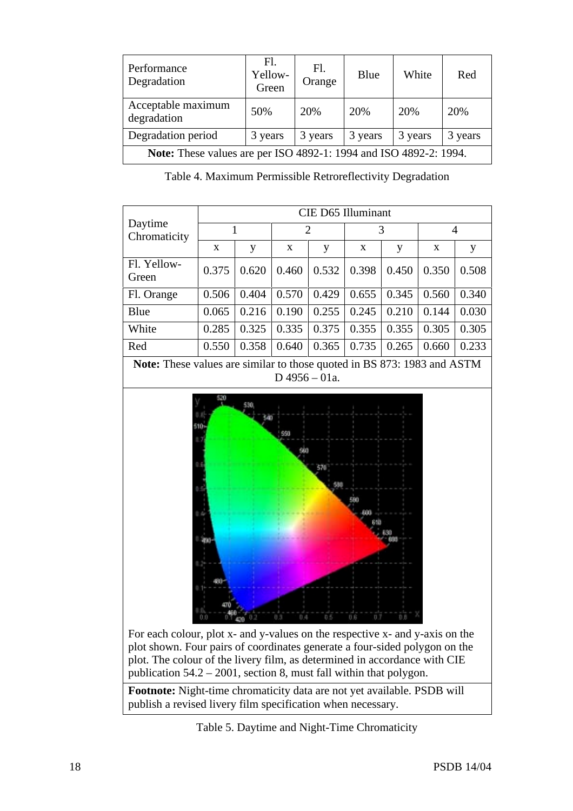| Performance<br>Degradation                                               | Fl.<br>Yellow-<br>Green | Fl.<br>Orange | Blue    | White   | Red     |  |
|--------------------------------------------------------------------------|-------------------------|---------------|---------|---------|---------|--|
| Acceptable maximum<br>degradation                                        | 50%                     | 20%           | 20%     | 20%     | 20%     |  |
| Degradation period                                                       | 3 years                 | 3 years       | 3 years | 3 years | 3 years |  |
| <b>Note:</b> These values are per ISO 4892-1: 1994 and ISO 4892-2: 1994. |                         |               |         |         |         |  |

Table 4. Maximum Permissible Retroreflectivity Degradation

|                                                                                                                                                                                                                                                                                                                                                                                                                                             | CIE D65 Illuminant |       |       |                |       |       |       |                |  |
|---------------------------------------------------------------------------------------------------------------------------------------------------------------------------------------------------------------------------------------------------------------------------------------------------------------------------------------------------------------------------------------------------------------------------------------------|--------------------|-------|-------|----------------|-------|-------|-------|----------------|--|
| Daytime<br>Chromaticity                                                                                                                                                                                                                                                                                                                                                                                                                     |                    | 1     |       | $\overline{2}$ |       | 3     |       | $\overline{4}$ |  |
|                                                                                                                                                                                                                                                                                                                                                                                                                                             | $\mathbf X$        | y     | X     | y              | X     | y     | X     | y              |  |
| Fl. Yellow-<br>Green                                                                                                                                                                                                                                                                                                                                                                                                                        | 0.375              | 0.620 | 0.460 | 0.532          | 0.398 | 0.450 | 0.350 | 0.508          |  |
| Fl. Orange                                                                                                                                                                                                                                                                                                                                                                                                                                  | 0.506              | 0.404 | 0.570 | 0.429          | 0.655 | 0.345 | 0.560 | 0.340          |  |
| Blue                                                                                                                                                                                                                                                                                                                                                                                                                                        | 0.065              | 0.216 | 0.190 | 0.255          | 0.245 | 0.210 | 0.144 | 0.030          |  |
| White                                                                                                                                                                                                                                                                                                                                                                                                                                       | 0.285              | 0.325 | 0.335 | 0.375          | 0.355 | 0.355 | 0.305 | 0.305          |  |
| Red                                                                                                                                                                                                                                                                                                                                                                                                                                         | 0.550              | 0.358 | 0.640 | 0.365          | 0.735 | 0.265 | 0.660 | 0.233          |  |
| Note: These values are similar to those quoted in BS 873: 1983 and ASTM                                                                                                                                                                                                                                                                                                                                                                     |                    |       |       |                |       |       |       |                |  |
| $D$ 4956 - 01a.<br>520<br>\$50<br>570<br>0.6<br>For each colour, plot x- and y-values on the respective x- and y-axis on the<br>plot shown. Four pairs of coordinates generate a four-sided polygon on the<br>plot. The colour of the livery film, as determined in accordance with CIE<br>publication $54.2 - 2001$ , section 8, must fall within that polygon.<br>Footnote: Night-time chromaticity data are not yet available. PSDB will |                    |       |       |                |       |       |       |                |  |

Table 5. Daytime and Night-Time Chromaticity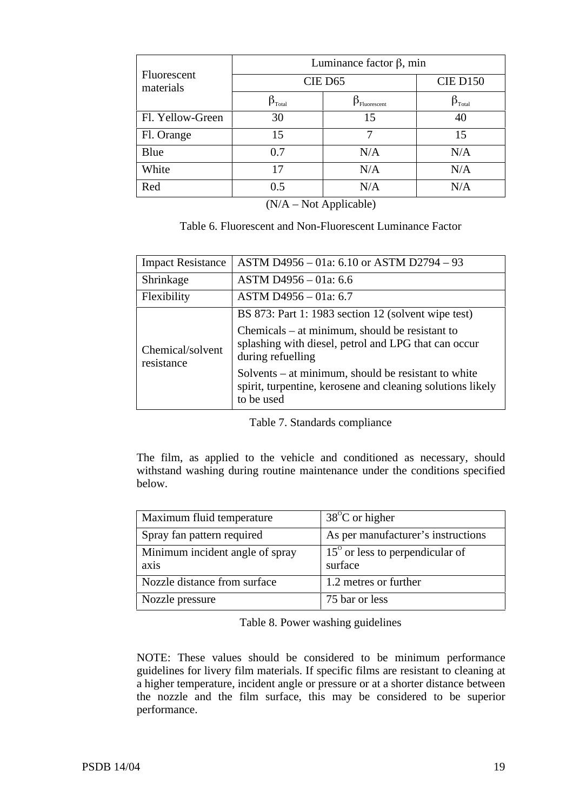|                             |                   | <b>CIE D150</b>             |  |
|-----------------------------|-------------------|-----------------------------|--|
|                             | CIE D65           |                             |  |
| $\bm{\beta}_{\text{Total}}$ | $P_{Fluorescent}$ | $\bm{\beta}_{\text{Total}}$ |  |
| 30                          | 15                | 40                          |  |
| 15                          |                   | 15                          |  |
| 0.7                         | N/A               | N/A                         |  |
| 17                          | N/A               | N/A                         |  |
| 0.5                         | N/A               | N/A                         |  |
|                             |                   |                             |  |

(N/A – Not Applicable)

| Table 6. Fluorescent and Non-Fluorescent Luminance Factor |  |  |
|-----------------------------------------------------------|--|--|
|-----------------------------------------------------------|--|--|

| <b>Impact Resistance</b>       | ASTM D4956 - 01a: 6.10 or ASTM D2794 - 93                                                                                       |
|--------------------------------|---------------------------------------------------------------------------------------------------------------------------------|
| Shrinkage                      | ASTM D4956 - 01a: 6.6                                                                                                           |
| Flexibility                    | ASTM D4956 - 01a: 6.7                                                                                                           |
|                                | BS 873: Part 1: 1983 section 12 (solvent wipe test)                                                                             |
| Chemical/solvent<br>resistance | $Chemicals - at minimum, should be resistant to$<br>splashing with diesel, petrol and LPG that can occur<br>during refuelling   |
|                                | Solvents – at minimum, should be resistant to white<br>spirit, turpentine, kerosene and cleaning solutions likely<br>to be used |

Table 7. Standards compliance

The film, as applied to the vehicle and conditioned as necessary, should withstand washing during routine maintenance under the conditions specified below.

| Maximum fluid temperature               | $38^{\circ}$ C or higher                            |
|-----------------------------------------|-----------------------------------------------------|
| Spray fan pattern required              | As per manufacturer's instructions                  |
| Minimum incident angle of spray<br>axis | $15^{\circ}$ or less to perpendicular of<br>surface |
| Nozzle distance from surface            | 1.2 metres or further                               |
| Nozzle pressure                         | 75 bar or less                                      |

Table 8. Power washing guidelines

NOTE: These values should be considered to be minimum performance guidelines for livery film materials. If specific films are resistant to cleaning at a higher temperature, incident angle or pressure or at a shorter distance between the nozzle and the film surface, this may be considered to be superior performance.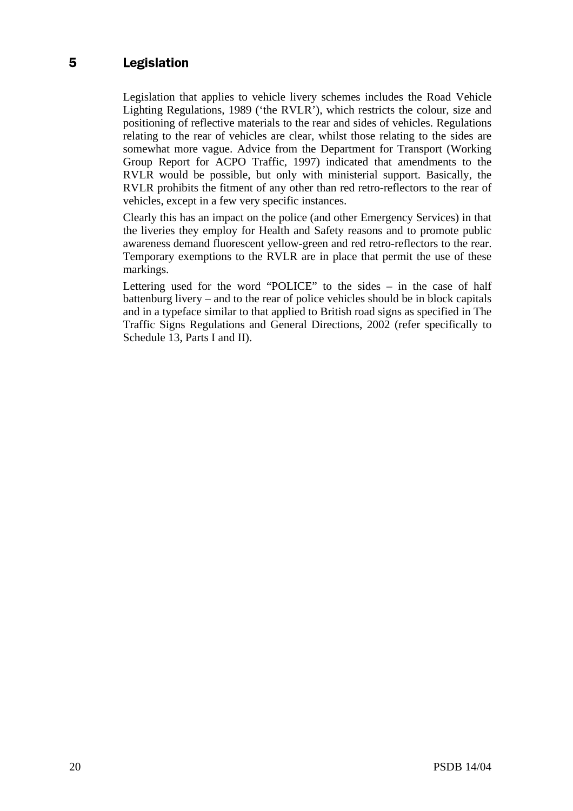## 5 Legislation

Legislation that applies to vehicle livery schemes includes the Road Vehicle Lighting Regulations, 1989 ('the RVLR'), which restricts the colour, size and positioning of reflective materials to the rear and sides of vehicles. Regulations relating to the rear of vehicles are clear, whilst those relating to the sides are somewhat more vague. Advice from the Department for Transport (Working Group Report for ACPO Traffic, 1997) indicated that amendments to the RVLR would be possible, but only with ministerial support. Basically, the RVLR prohibits the fitment of any other than red retro-reflectors to the rear of vehicles, except in a few very specific instances.

Clearly this has an impact on the police (and other Emergency Services) in that the liveries they employ for Health and Safety reasons and to promote public awareness demand fluorescent yellow-green and red retro-reflectors to the rear. Temporary exemptions to the RVLR are in place that permit the use of these markings.

Lettering used for the word "POLICE" to the sides – in the case of half battenburg livery – and to the rear of police vehicles should be in block capitals and in a typeface similar to that applied to British road signs as specified in The Traffic Signs Regulations and General Directions, 2002 (refer specifically to Schedule 13, Parts I and II).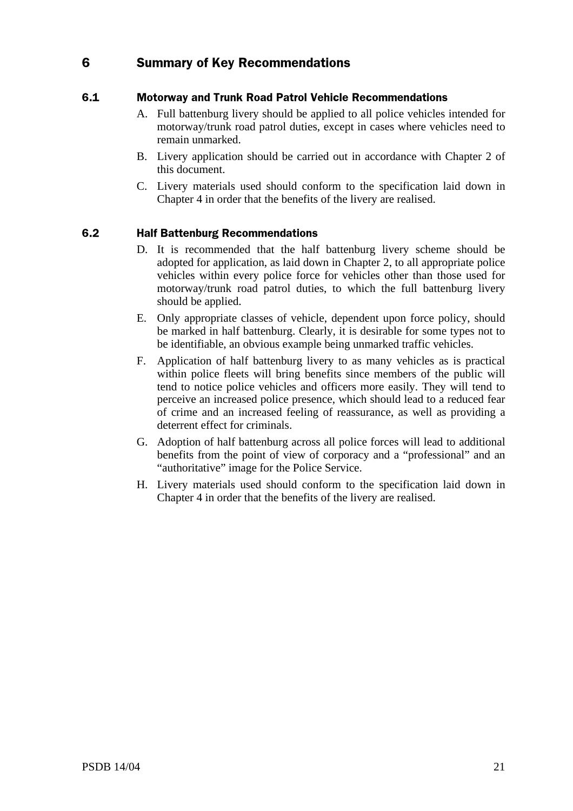## 6 Summary of Key Recommendations

## 6.1 Motorway and Trunk Road Patrol Vehicle Recommendations

- A. Full battenburg livery should be applied to all police vehicles intended for motorway/trunk road patrol duties, except in cases where vehicles need to remain unmarked.
- B. Livery application should be carried out in accordance with Chapter 2 of this document.
- C. Livery materials used should conform to the specification laid down in Chapter 4 in order that the benefits of the livery are realised.

#### $6.2$ alf Battenburg Recommendations

- D. It is recommended that the half battenburg livery scheme should be adopted for application, as laid down in Chapter 2, to all appropriate police vehicles within every police force for vehicles other than those used for motorway/trunk road patrol duties, to which the full battenburg livery should be applied.
- E. Only appropriate classes of vehicle, dependent upon force policy, should be marked in half battenburg. Clearly, it is desirable for some types not to be identifiable, an obvious example being unmarked traffic vehicles.
- F. Application of half battenburg livery to as many vehicles as is practical within police fleets will bring benefits since members of the public will tend to notice police vehicles and officers more easily. They will tend to perceive an increased police presence, which should lead to a reduced fear of crime and an increased feeling of reassurance, as well as providing a deterrent effect for criminals.
- G. Adoption of half battenburg across all police forces will lead to additional benefits from the point of view of corporacy and a "professional" and an "authoritative" image for the Police Service.
- H. Livery materials used should conform to the specification laid down in Chapter 4 in order that the benefits of the livery are realised.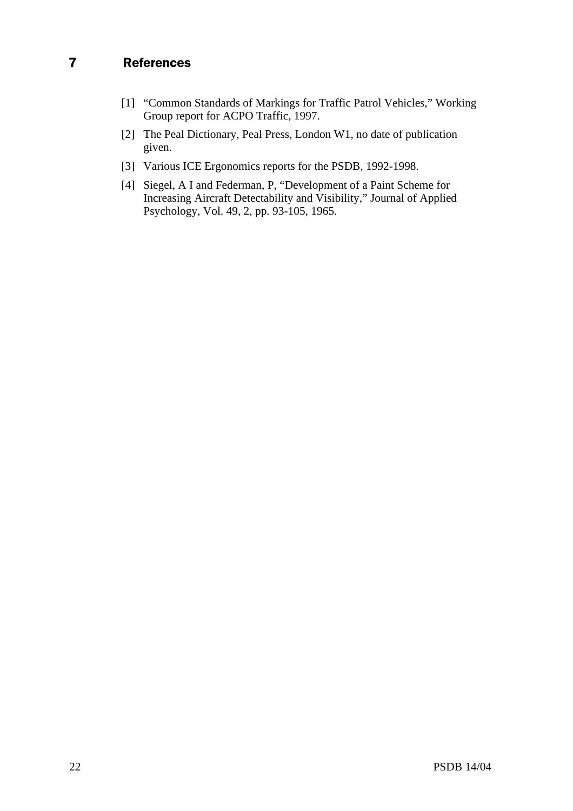- [1] "Common Standards of Markings for Traffic Patrol Vehicles," Working Group report for ACPO Traffic, 1997.
- [2] The Peal Dictionary, Peal Press, London W1, no date of publication given.
- [3] Various ICE Ergonomics reports for the PSDB, 1992-1998.
- [4] Siegel, A I and Federman, P, "Development of a Paint Scheme for Increasing Aircraft Detectability and Visibility," Journal of Applied Psychology, Vol. 49, 2, pp. 93-105, 1965.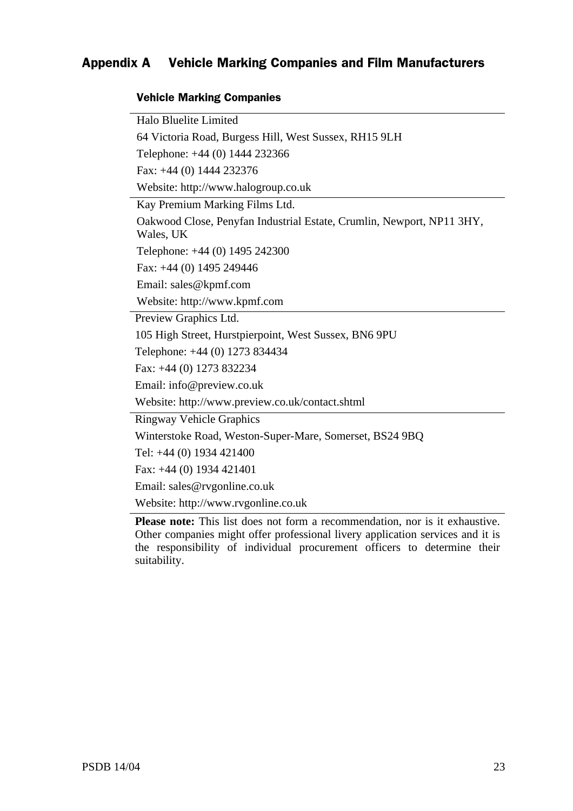#### Appendix A rking Companies and Film Manufacturers

## **Vehicle Marking Companies**

Halo Bluelite Limited 64 Victoria Road, Burgess Hill, West Sussex, RH15 9LH Telephone: +44 (0) 1444 232366 Fax: +44 (0) 1444 232376 Website: http://www.halogroup.co.uk Kay Premium Marking Films Ltd. Oakwood Close, Penyfan Industrial Estate, Crumlin, Newport, NP11 3HY, Wales, UK Telephone: +44 (0) 1495 242300 Fax: +44 (0) 1495 249446 Email: sales@kpmf.com Website: http://www.kpmf.com Preview Graphics Ltd. 105 High Street, Hurstpierpoint, West Sussex, BN6 9PU Telephone: +44 (0) 1273 834434 Fax: +44 (0) 1273 832234 Email: info@preview.co.uk Website: http://www.preview.co.uk/contact.shtml Ringway Vehicle Graphics Winterstoke Road, Weston-Super-Mare, Somerset, BS24 9BQ Tel: +44 (0) 1934 421400 Fax: +44 (0) 1934 421401 Email: sales@rvgonline.co.uk

Website: http://www.rvgonline.co.uk

**Please note:** This list does not form a recommendation, nor is it exhaustive. Other companies might offer professional livery application services and it is the responsibility of individual procurement officers to determine their suitability.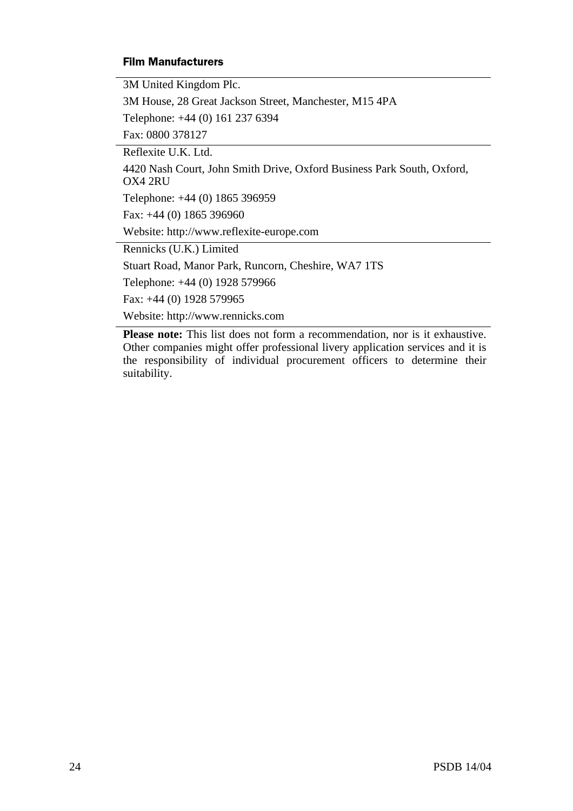## **Film Manufacturers**

3M United Kingdom Plc.

3M House, 28 Great Jackson Street, Manchester, M15 4PA

Telephone: +44 (0) 161 237 6394

Fax: 0800 378127

Reflexite U.K. Ltd.

4420 Nash Court, John Smith Drive, Oxford Business Park South, Oxford, OX4 2RU

Telephone: +44 (0) 1865 396959

Fax: +44 (0) 1865 396960

Website: http://www.reflexite-europe.com

Rennicks (U.K.) Limited

Stuart Road, Manor Park, Runcorn, Cheshire, WA7 1TS

Telephone: +44 (0) 1928 579966

Fax: +44 (0) 1928 579965

Website: http://www.rennicks.com

**Please note:** This list does not form a recommendation, nor is it exhaustive. Other companies might offer professional livery application services and it is the responsibility of individual procurement officers to determine their suitability.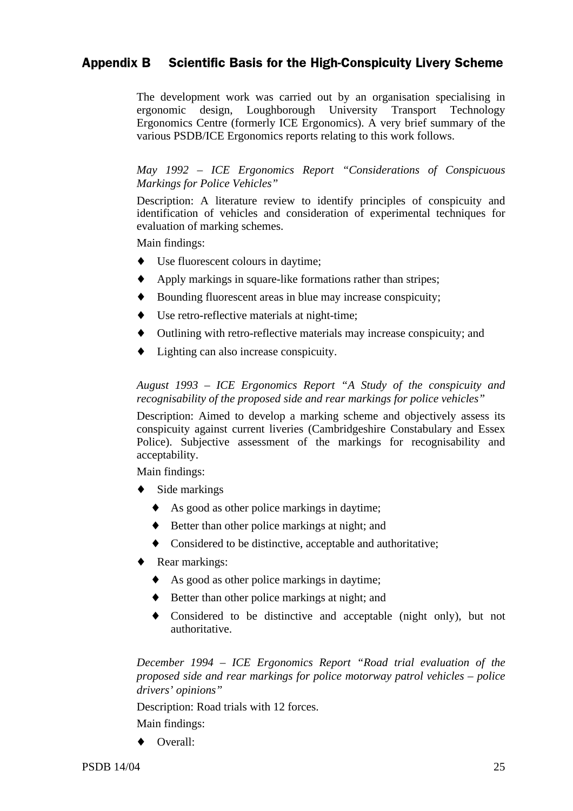## Appendix B Scientific Basis for the High-Conspicuity Livery Scheme

The development work was carried out by an organisation specialising in ergonomic design, Loughborough University Transport Technology Ergonomics Centre (formerly ICE Ergonomics). A very brief summary of the various PSDB/ICE Ergonomics reports relating to this work follows.

*May 1992 – ICE Ergonomics Report "Considerations of Conspicuous Markings for Police Vehicles"*

Description: A literature review to identify principles of conspicuity and identification of vehicles and consideration of experimental techniques for evaluation of marking schemes.

Main findings:

- Use fluorescent colours in daytime;
- ♦ Apply markings in square-like formations rather than stripes;
- ♦ Bounding fluorescent areas in blue may increase conspicuity;
- Use retro-reflective materials at night-time;
- ♦ Outlining with retro-reflective materials may increase conspicuity; and
- ♦ Lighting can also increase conspicuity.

## *August 1993 – ICE Ergonomics Report "A Study of the conspicuity and recognisability of the proposed side and rear markings for police vehicles"*

Description: Aimed to develop a marking scheme and objectively assess its conspicuity against current liveries (Cambridgeshire Constabulary and Essex Police). Subjective assessment of the markings for recognisability and acceptability.

Main findings:

- ♦ Side markings
	- ♦ As good as other police markings in daytime;
	- ♦ Better than other police markings at night; and
	- ♦ Considered to be distinctive, acceptable and authoritative;
- ♦ Rear markings:
	- ♦ As good as other police markings in daytime;
	- ♦ Better than other police markings at night; and
	- ♦ Considered to be distinctive and acceptable (night only), but not authoritative.

*December 1994 – ICE Ergonomics Report "Road trial evaluation of the proposed side and rear markings for police motorway patrol vehicles – police drivers' opinions"*

Description: Road trials with 12 forces.

Main findings:

♦ Overall: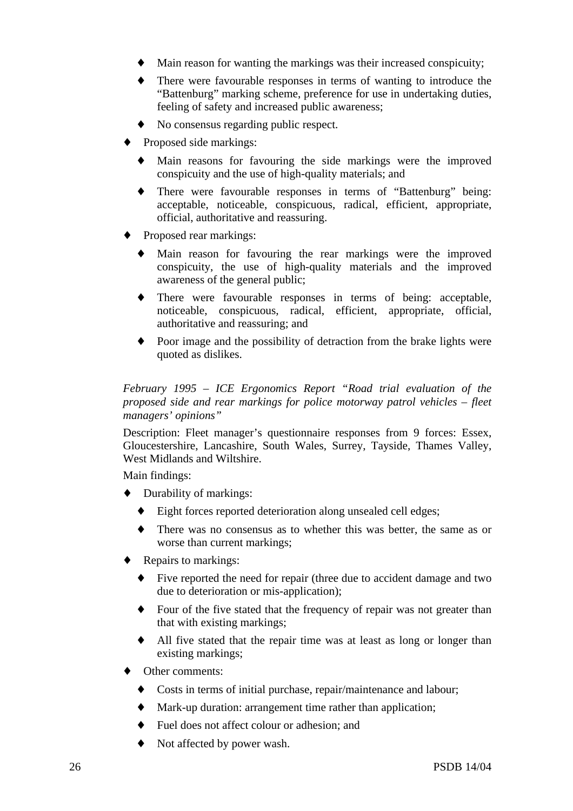- Main reason for wanting the markings was their increased conspicuity;
- There were favourable responses in terms of wanting to introduce the "Battenburg" marking scheme, preference for use in undertaking duties, feeling of safety and increased public awareness;
- No consensus regarding public respect.
- Proposed side markings:
	- Main reasons for favouring the side markings were the improved conspicuity and the use of high-quality materials; and
	- There were favourable responses in terms of "Battenburg" being: acceptable, noticeable, conspicuous, radical, efficient, appropriate, official, authoritative and reassuring.
- Proposed rear markings:
	- Main reason for favouring the rear markings were the improved conspicuity, the use of high-quality materials and the improved awareness of the general public;
	- There were favourable responses in terms of being: acceptable, noticeable, conspicuous, radical, efficient, appropriate, official, authoritative and reassuring; and
	- Poor image and the possibility of detraction from the brake lights were quoted as dislikes.

*February 1995 – ICE Ergonomics Report "Road trial evaluation of the proposed side and rear markings for police motorway patrol vehicles – fleet managers' opinions"*

Description: Fleet manager's questionnaire responses from 9 forces: Essex, Gloucestershire, Lancashire, South Wales, Surrey, Tayside, Thames Valley, West Midlands and Wiltshire.

Main findings:

- ♦ Durability of markings:
	- Eight forces reported deterioration along unsealed cell edges;
	- ♦ There was no consensus as to whether this was better, the same as or worse than current markings;
- Repairs to markings:
	- Five reported the need for repair (three due to accident damage and two due to deterioration or mis-application);
	- Four of the five stated that the frequency of repair was not greater than that with existing markings;
	- All five stated that the repair time was at least as long or longer than existing markings;
- Other comments:
	- Costs in terms of initial purchase, repair/maintenance and labour;
	- Mark-up duration: arrangement time rather than application;
	- Fuel does not affect colour or adhesion; and
	- Not affected by power wash.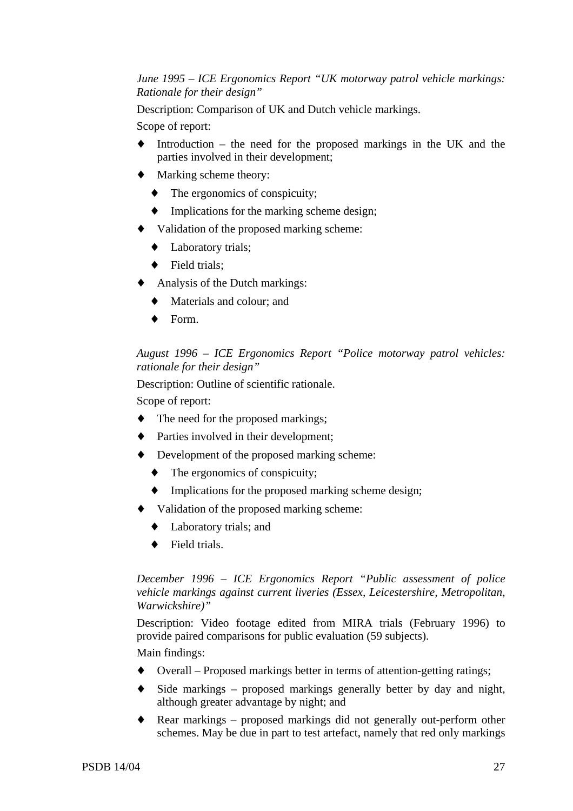## *June 1995 – ICE Ergonomics Report "UK motorway patrol vehicle markings: Rationale for their design"*

Description: Comparison of UK and Dutch vehicle markings.

Scope of report:

- $\blacklozenge$  Introduction the need for the proposed markings in the UK and the parties involved in their development;
- ♦ Marking scheme theory:
	- ♦ The ergonomics of conspicuity;
	- ♦ Implications for the marking scheme design;
- ♦ Validation of the proposed marking scheme:
	- ♦ Laboratory trials;
	- ♦ Field trials;
- ♦ Analysis of the Dutch markings:
	- ♦ Materials and colour; and
	- ♦ Form.

## *August 1996 – ICE Ergonomics Report "Police motorway patrol vehicles: rationale for their design"*

Description: Outline of scientific rationale.

Scope of report:

- The need for the proposed markings;
- ♦ Parties involved in their development;
- ♦ Development of the proposed marking scheme:
	- $\blacklozenge$  The ergonomics of conspicuity;
	- ♦ Implications for the proposed marking scheme design;
- ♦ Validation of the proposed marking scheme:
	- ♦ Laboratory trials; and
	- ♦ Field trials.

## *December 1996 – ICE Ergonomics Report "Public assessment of police vehicle markings against current liveries (Essex, Leicestershire, Metropolitan, Warwickshire)"*

Description: Video footage edited from MIRA trials (February 1996) to provide paired comparisons for public evaluation (59 subjects).

Main findings:

- ♦ Overall Proposed markings better in terms of attention-getting ratings;
- ♦ Side markings proposed markings generally better by day and night, although greater advantage by night; and
- Rear markings proposed markings did not generally out-perform other schemes. May be due in part to test artefact, namely that red only markings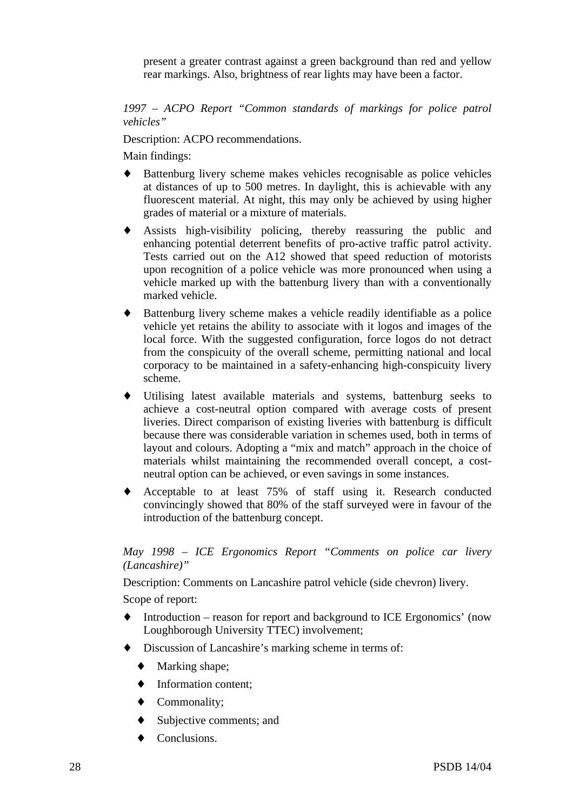present a greater contrast against a green background than red and yellow rear markings. Also, brightness of rear lights may have been a factor.

*1997 – ACPO Report "Common standards of markings for police patrol vehicles"*

Description: ACPO recommendations.

Main findings:

- Battenburg livery scheme makes vehicles recognisable as police vehicles at distances of up to 500 metres. In daylight, this is achievable with any fluorescent material. At night, this may only be achieved by using higher grades of material or a mixture of materials.
- ♦ Assists high-visibility policing, thereby reassuring the public and enhancing potential deterrent benefits of pro-active traffic patrol activity. Tests carried out on the A12 showed that speed reduction of motorists upon recognition of a police vehicle was more pronounced when using a vehicle marked up with the battenburg livery than with a conventionally marked vehicle.
- Battenburg livery scheme makes a vehicle readily identifiable as a police vehicle yet retains the ability to associate with it logos and images of the local force. With the suggested configuration, force logos do not detract from the conspicuity of the overall scheme, permitting national and local corporacy to be maintained in a safety-enhancing high-conspicuity livery scheme.
- Utilising latest available materials and systems, battenburg seeks to achieve a cost-neutral option compared with average costs of present liveries. Direct comparison of existing liveries with battenburg is difficult because there was considerable variation in schemes used, both in terms of layout and colours. Adopting a "mix and match" approach in the choice of materials whilst maintaining the recommended overall concept, a costneutral option can be achieved, or even savings in some instances.
- ♦ Acceptable to at least 75% of staff using it. Research conducted convincingly showed that 80% of the staff surveyed were in favour of the introduction of the battenburg concept.

## *May 1998 – ICE Ergonomics Report "Comments on police car livery (Lancashire)"*

Description: Comments on Lancashire patrol vehicle (side chevron) livery.

Scope of report:

- ♦ Introduction reason for report and background to ICE Ergonomics' (now Loughborough University TTEC) involvement;
- Discussion of Lancashire's marking scheme in terms of:
	- ♦ Marking shape;
	- $\blacklozenge$  Information content:
	- ♦ Commonality;
	- Subjective comments; and
	- Conclusions.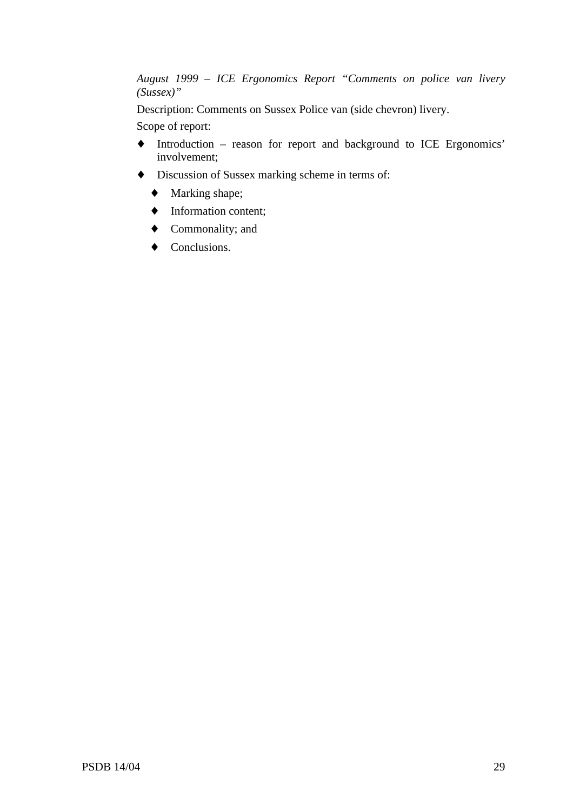*August 1999 – ICE Ergonomics Report "Comments on police van livery (Sussex)"*

Description: Comments on Sussex Police van (side chevron) livery.

Scope of report:

- ♦ Introduction reason for report and background to ICE Ergonomics' involvement;
- ♦ Discussion of Sussex marking scheme in terms of:
	- ♦ Marking shape;
	- ♦ Information content;
	- ♦ Commonality; and
	- ♦ Conclusions.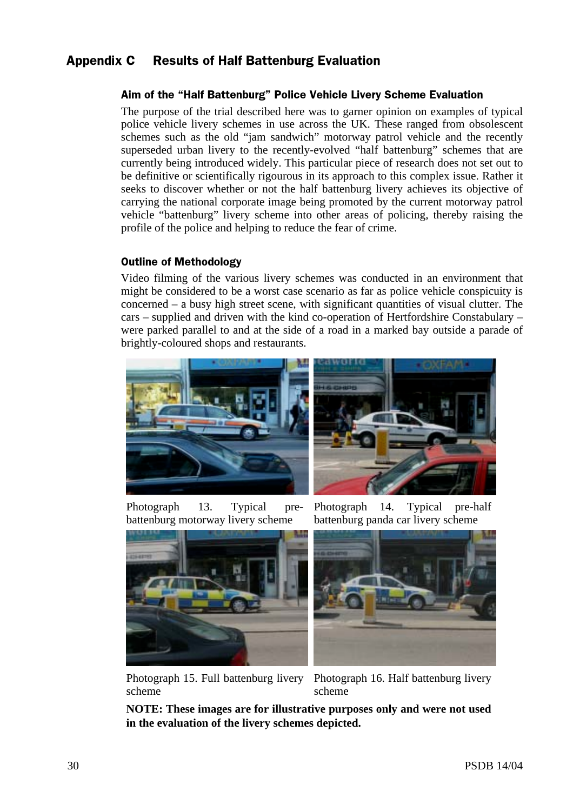## Appendix C Results of Half Battenburg Evaluation

## Aim of the "Half Battenburg" Police Vehicle Livery Scheme Evaluation

The purpose of the trial described here was to garner opinion on examples of typical police vehicle livery schemes in use across the UK. These ranged from obsolescent schemes such as the old "jam sandwich" motorway patrol vehicle and the recently superseded urban livery to the recently-evolved "half battenburg" schemes that are currently being introduced widely. This particular piece of research does not set out to be definitive or scientifically rigourous in its approach to this complex issue. Rather it seeks to discover whether or not the half battenburg livery achieves its objective of carrying the national corporate image being promoted by the current motorway patrol vehicle "battenburg" livery scheme into other areas of policing, thereby raising the profile of the police and helping to reduce the fear of crime.

## **Outline of Methodology**

Video filming of the various livery schemes was conducted in an environment that might be considered to be a worst case scenario as far as police vehicle conspicuity is concerned – a busy high street scene, with significant quantities of visual clutter. The cars – supplied and driven with the kind co-operation of Hertfordshire Constabulary – were parked parallel to and at the side of a road in a marked bay outside a parade of brightly-coloured shops and restaurants.



Photograph 13. Typical prebattenburg motorway livery scheme

Photograph 14. Typical pre-half battenburg panda car livery scheme



Photograph 15. Full battenburg livery scheme



Photograph 16. Half battenburg livery scheme

**NOTE: These images are for illustrative purposes only and were not used in the evaluation of the livery schemes depicted.**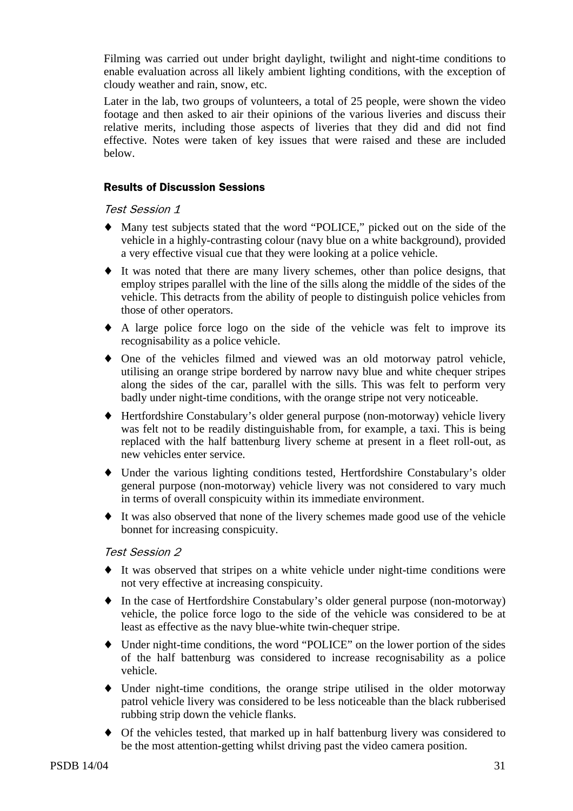Filming was carried out under bright daylight, twilight and night-time conditions to enable evaluation across all likely ambient lighting conditions, with the exception of cloudy weather and rain, snow, etc.

Later in the lab, two groups of volunteers, a total of 25 people, were shown the video footage and then asked to air their opinions of the various liveries and discuss their relative merits, including those aspects of liveries that they did and did not find effective. Notes were taken of key issues that were raised and these are included below.

## **Results of Discussion Sessions**

## **Test Session 1**

- ♦ Many test subjects stated that the word "POLICE," picked out on the side of the vehicle in a highly-contrasting colour (navy blue on a white background), provided a very effective visual cue that they were looking at a police vehicle.
- ♦ It was noted that there are many livery schemes, other than police designs, that employ stripes parallel with the line of the sills along the middle of the sides of the vehicle. This detracts from the ability of people to distinguish police vehicles from those of other operators.
- ♦ A large police force logo on the side of the vehicle was felt to improve its recognisability as a police vehicle.
- ♦ One of the vehicles filmed and viewed was an old motorway patrol vehicle, utilising an orange stripe bordered by narrow navy blue and white chequer stripes along the sides of the car, parallel with the sills. This was felt to perform very badly under night-time conditions, with the orange stripe not very noticeable.
- ♦ Hertfordshire Constabulary's older general purpose (non-motorway) vehicle livery was felt not to be readily distinguishable from, for example, a taxi. This is being replaced with the half battenburg livery scheme at present in a fleet roll-out, as new vehicles enter service.
- Under the various lighting conditions tested, Hertfordshire Constabulary's older general purpose (non-motorway) vehicle livery was not considered to vary much in terms of overall conspicuity within its immediate environment.
- ♦ It was also observed that none of the livery schemes made good use of the vehicle bonnet for increasing conspicuity.

## Test Session 2

- ♦ It was observed that stripes on a white vehicle under night-time conditions were not very effective at increasing conspicuity.
- ♦ In the case of Hertfordshire Constabulary's older general purpose (non-motorway) vehicle, the police force logo to the side of the vehicle was considered to be at least as effective as the navy blue-white twin-chequer stripe.
- ♦ Under night-time conditions, the word "POLICE" on the lower portion of the sides of the half battenburg was considered to increase recognisability as a police vehicle.
- ♦ Under night-time conditions, the orange stripe utilised in the older motorway patrol vehicle livery was considered to be less noticeable than the black rubberised rubbing strip down the vehicle flanks.
- ♦ Of the vehicles tested, that marked up in half battenburg livery was considered to be the most attention-getting whilst driving past the video camera position.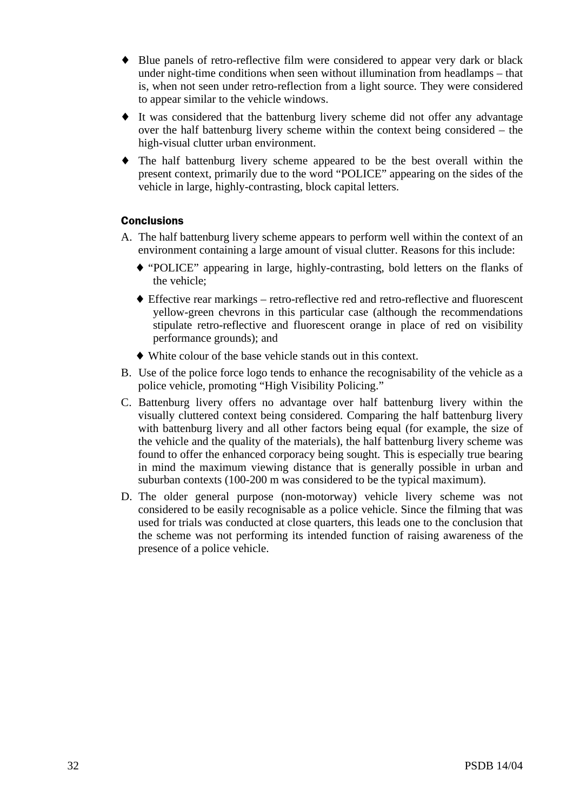- ♦ Blue panels of retro-reflective film were considered to appear very dark or black under night-time conditions when seen without illumination from headlamps – that is, when not seen under retro-reflection from a light source. They were considered to appear similar to the vehicle windows.
- ♦ It was considered that the battenburg livery scheme did not offer any advantage over the half battenburg livery scheme within the context being considered – the high-visual clutter urban environment.
- ♦ The half battenburg livery scheme appeared to be the best overall within the present context, primarily due to the word "POLICE" appearing on the sides of the vehicle in large, highly-contrasting, block capital letters.

## **Conclusions**

- A. The half battenburg livery scheme appears to perform well within the context of an environment containing a large amount of visual clutter. Reasons for this include:
	- ♦ "POLICE" appearing in large, highly-contrasting, bold letters on the flanks of the vehicle;
	- ♦ Effective rear markings retro-reflective red and retro-reflective and fluorescent yellow-green chevrons in this particular case (although the recommendations stipulate retro-reflective and fluorescent orange in place of red on visibility performance grounds); and
	- ♦ White colour of the base vehicle stands out in this context.
- B. Use of the police force logo tends to enhance the recognisability of the vehicle as a police vehicle, promoting "High Visibility Policing."
- C. Battenburg livery offers no advantage over half battenburg livery within the visually cluttered context being considered. Comparing the half battenburg livery with battenburg livery and all other factors being equal (for example, the size of the vehicle and the quality of the materials), the half battenburg livery scheme was found to offer the enhanced corporacy being sought. This is especially true bearing in mind the maximum viewing distance that is generally possible in urban and suburban contexts (100-200 m was considered to be the typical maximum).
- D. The older general purpose (non-motorway) vehicle livery scheme was not considered to be easily recognisable as a police vehicle. Since the filming that was used for trials was conducted at close quarters, this leads one to the conclusion that the scheme was not performing its intended function of raising awareness of the presence of a police vehicle.